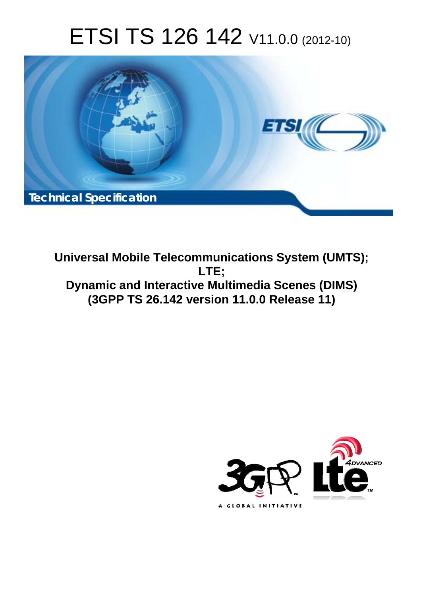# ETSI TS 126 142 V11.0.0 (2012-10)



**Universal Mobile Telecommunications System (UMTS); LTE; Dynamic and Interactive Multimedia Scenes (DIMS) (3GPP TS 26.142 version 11.0.0 Release 11)** 

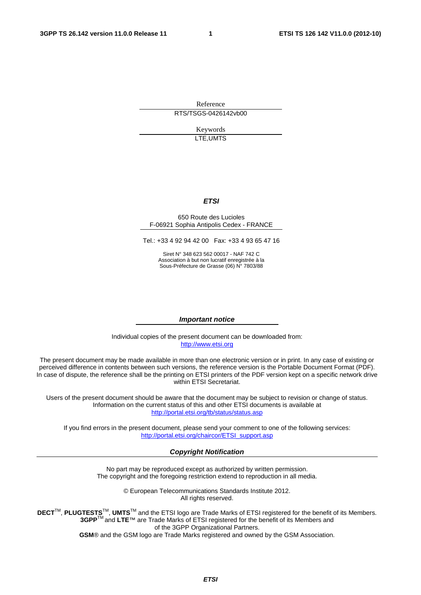Reference RTS/TSGS-0426142vb00

> Keywords LTE,UMTS

### *ETSI*

#### 650 Route des Lucioles F-06921 Sophia Antipolis Cedex - FRANCE

Tel.: +33 4 92 94 42 00 Fax: +33 4 93 65 47 16

Siret N° 348 623 562 00017 - NAF 742 C Association à but non lucratif enregistrée à la Sous-Préfecture de Grasse (06) N° 7803/88

#### *Important notice*

Individual copies of the present document can be downloaded from: [http://www.etsi.org](http://www.etsi.org/)

The present document may be made available in more than one electronic version or in print. In any case of existing or perceived difference in contents between such versions, the reference version is the Portable Document Format (PDF). In case of dispute, the reference shall be the printing on ETSI printers of the PDF version kept on a specific network drive within ETSI Secretariat.

Users of the present document should be aware that the document may be subject to revision or change of status. Information on the current status of this and other ETSI documents is available at <http://portal.etsi.org/tb/status/status.asp>

If you find errors in the present document, please send your comment to one of the following services: [http://portal.etsi.org/chaircor/ETSI\\_support.asp](http://portal.etsi.org/chaircor/ETSI_support.asp)

### *Copyright Notification*

No part may be reproduced except as authorized by written permission. The copyright and the foregoing restriction extend to reproduction in all media.

> © European Telecommunications Standards Institute 2012. All rights reserved.

DECT<sup>™</sup>, PLUGTESTS<sup>™</sup>, UMTS<sup>™</sup> and the ETSI logo are Trade Marks of ETSI registered for the benefit of its Members. **3GPP**TM and **LTE**™ are Trade Marks of ETSI registered for the benefit of its Members and of the 3GPP Organizational Partners.

**GSM**® and the GSM logo are Trade Marks registered and owned by the GSM Association.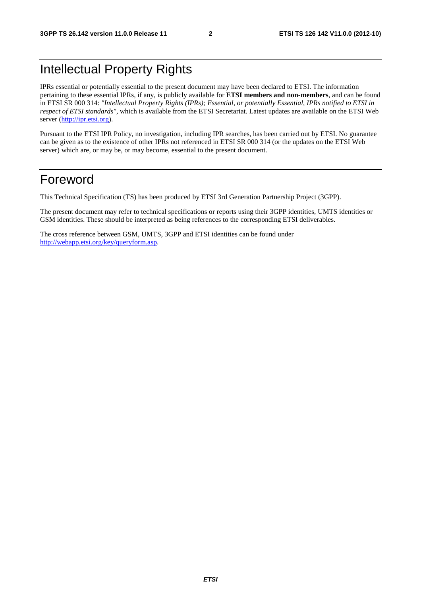# Intellectual Property Rights

IPRs essential or potentially essential to the present document may have been declared to ETSI. The information pertaining to these essential IPRs, if any, is publicly available for **ETSI members and non-members**, and can be found in ETSI SR 000 314: *"Intellectual Property Rights (IPRs); Essential, or potentially Essential, IPRs notified to ETSI in respect of ETSI standards"*, which is available from the ETSI Secretariat. Latest updates are available on the ETSI Web server [\(http://ipr.etsi.org](http://webapp.etsi.org/IPR/home.asp)).

Pursuant to the ETSI IPR Policy, no investigation, including IPR searches, has been carried out by ETSI. No guarantee can be given as to the existence of other IPRs not referenced in ETSI SR 000 314 (or the updates on the ETSI Web server) which are, or may be, or may become, essential to the present document.

# Foreword

This Technical Specification (TS) has been produced by ETSI 3rd Generation Partnership Project (3GPP).

The present document may refer to technical specifications or reports using their 3GPP identities, UMTS identities or GSM identities. These should be interpreted as being references to the corresponding ETSI deliverables.

The cross reference between GSM, UMTS, 3GPP and ETSI identities can be found under [http://webapp.etsi.org/key/queryform.asp.](http://webapp.etsi.org/key/queryform.asp)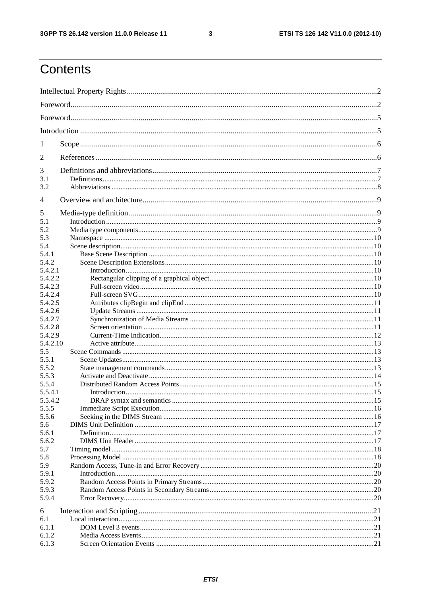$\mathbf{3}$ 

# Contents

| 1              |  |  |  |  |  |
|----------------|--|--|--|--|--|
| 2              |  |  |  |  |  |
| 3              |  |  |  |  |  |
| 3.1<br>3.2     |  |  |  |  |  |
|                |  |  |  |  |  |
| $\overline{4}$ |  |  |  |  |  |
| 5              |  |  |  |  |  |
| 5.1            |  |  |  |  |  |
| 5.2            |  |  |  |  |  |
| 5.3            |  |  |  |  |  |
| 5.4            |  |  |  |  |  |
| 5.4.1          |  |  |  |  |  |
| 5.4.2          |  |  |  |  |  |
| 5.4.2.1        |  |  |  |  |  |
| 5.4.2.2        |  |  |  |  |  |
| 5.4.2.3        |  |  |  |  |  |
| 5.4.2.4        |  |  |  |  |  |
| 5.4.2.5        |  |  |  |  |  |
| 5.4.2.6        |  |  |  |  |  |
| 5.4.2.7        |  |  |  |  |  |
| 5.4.2.8        |  |  |  |  |  |
| 5.4.2.9        |  |  |  |  |  |
| 5.4.2.10       |  |  |  |  |  |
| 5.5            |  |  |  |  |  |
| 5.5.1          |  |  |  |  |  |
| 5.5.2          |  |  |  |  |  |
| 5.5.3          |  |  |  |  |  |
| 5.5.4          |  |  |  |  |  |
| 5.5.4.1        |  |  |  |  |  |
| 5.5.4.2        |  |  |  |  |  |
| 5.5.5          |  |  |  |  |  |
| 5.5.6          |  |  |  |  |  |
| 5.6            |  |  |  |  |  |
| 5.6.1          |  |  |  |  |  |
| 5.6.2          |  |  |  |  |  |
| 5.7            |  |  |  |  |  |
| 5.8            |  |  |  |  |  |
| 5.9            |  |  |  |  |  |
| 5.9.1          |  |  |  |  |  |
| 5.9.2          |  |  |  |  |  |
| 5.9.3          |  |  |  |  |  |
| 5.9.4          |  |  |  |  |  |
| 6              |  |  |  |  |  |
| 6.1            |  |  |  |  |  |
| 6.1.1          |  |  |  |  |  |
| 6.1.2          |  |  |  |  |  |
| 6.1.3          |  |  |  |  |  |
|                |  |  |  |  |  |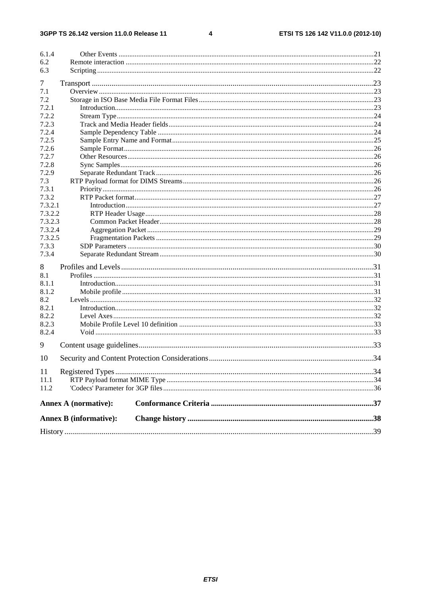$\overline{\mathbf{4}}$ 

| 6.1.4   |                               |  |
|---------|-------------------------------|--|
| 6.2     |                               |  |
| 6.3     |                               |  |
| 7       |                               |  |
| 7.1     |                               |  |
| 7.2     |                               |  |
| 7.2.1   |                               |  |
| 7.2.2   |                               |  |
| 7.2.3   |                               |  |
| 7.2.4   |                               |  |
| 7.2.5   |                               |  |
| 7.2.6   |                               |  |
| 7.2.7   |                               |  |
| 7.2.8   |                               |  |
| 7.2.9   |                               |  |
| 7.3     |                               |  |
| 7.3.1   |                               |  |
| 7.3.2   |                               |  |
| 7.3.2.1 |                               |  |
| 7.3.2.2 |                               |  |
| 7.3.2.3 |                               |  |
| 7.3.2.4 |                               |  |
| 7.3.2.5 |                               |  |
| 7.3.3   |                               |  |
| 7.3.4   |                               |  |
| 8       |                               |  |
| 8.1     |                               |  |
| 8.1.1   |                               |  |
| 8.1.2   |                               |  |
| 8.2     |                               |  |
| 8.2.1   |                               |  |
| 8.2.2   |                               |  |
| 8.2.3   |                               |  |
| 8.2.4   |                               |  |
| 9       |                               |  |
| 10      |                               |  |
| 11      |                               |  |
| 11.1    |                               |  |
| 11.2    |                               |  |
|         |                               |  |
|         | <b>Annex A (normative):</b>   |  |
|         | <b>Annex B</b> (informative): |  |
|         |                               |  |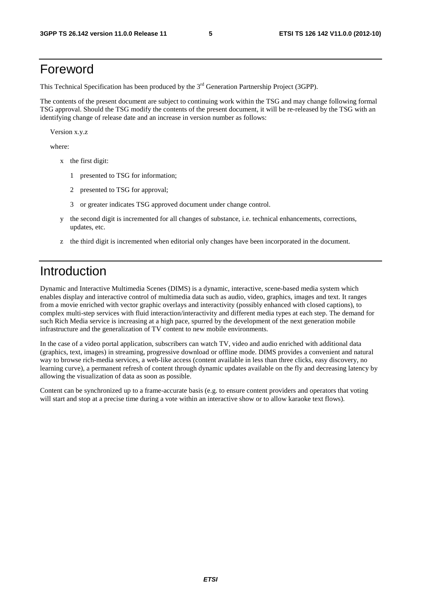# Foreword

This Technical Specification has been produced by the 3<sup>rd</sup> Generation Partnership Project (3GPP).

The contents of the present document are subject to continuing work within the TSG and may change following formal TSG approval. Should the TSG modify the contents of the present document, it will be re-released by the TSG with an identifying change of release date and an increase in version number as follows:

Version x.y.z

where:

- x the first digit:
	- 1 presented to TSG for information;
	- 2 presented to TSG for approval;
	- 3 or greater indicates TSG approved document under change control.
- y the second digit is incremented for all changes of substance, i.e. technical enhancements, corrections, updates, etc.
- z the third digit is incremented when editorial only changes have been incorporated in the document.

# Introduction

Dynamic and Interactive Multimedia Scenes (DIMS) is a dynamic, interactive, scene-based media system which enables display and interactive control of multimedia data such as audio, video, graphics, images and text. It ranges from a movie enriched with vector graphic overlays and interactivity (possibly enhanced with closed captions), to complex multi-step services with fluid interaction/interactivity and different media types at each step. The demand for such Rich Media service is increasing at a high pace, spurred by the development of the next generation mobile infrastructure and the generalization of TV content to new mobile environments.

In the case of a video portal application, subscribers can watch TV, video and audio enriched with additional data (graphics, text, images) in streaming, progressive download or offline mode. DIMS provides a convenient and natural way to browse rich-media services, a web-like access (content available in less than three clicks, easy discovery, no learning curve), a permanent refresh of content through dynamic updates available on the fly and decreasing latency by allowing the visualization of data as soon as possible.

Content can be synchronized up to a frame-accurate basis (e.g. to ensure content providers and operators that voting will start and stop at a precise time during a vote within an interactive show or to allow karaoke text flows).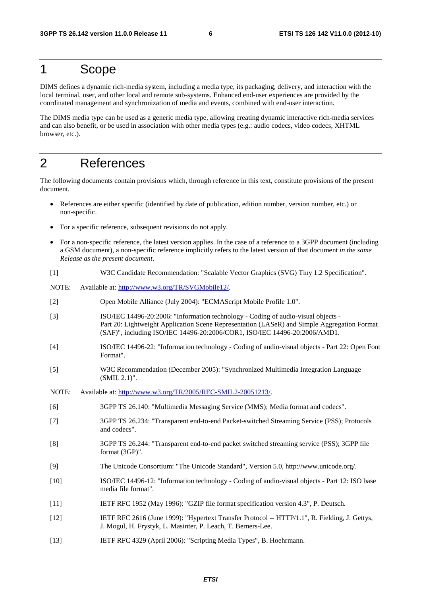# 1 Scope

DIMS defines a dynamic rich-media system, including a media type, its packaging, delivery, and interaction with the local terminal, user, and other local and remote sub-systems. Enhanced end-user experiences are provided by the coordinated management and synchronization of media and events, combined with end-user interaction.

The DIMS media type can be used as a generic media type, allowing creating dynamic interactive rich-media services and can also benefit, or be used in association with other media types (e.g.: audio codecs, video codecs, XHTML browser, etc.).

# 2 References

The following documents contain provisions which, through reference in this text, constitute provisions of the present document.

- References are either specific (identified by date of publication, edition number, version number, etc.) or non-specific.
- For a specific reference, subsequent revisions do not apply.
- For a non-specific reference, the latest version applies. In the case of a reference to a 3GPP document (including a GSM document), a non-specific reference implicitly refers to the latest version of that document *in the same Release as the present document*.
- [1] W3C Candidate Recommendation: "Scalable Vector Graphics (SVG) Tiny 1.2 Specification".

NOTE: Available at:<http://www.w3.org/TR/SVGMobile12/>.

- [2] Open Mobile Alliance (July 2004): "ECMAScript Mobile Profile 1.0".
- [3] ISO/IEC 14496-20:2006: "Information technology Coding of audio-visual objects Part 20: Lightweight Application Scene Representation (LASeR) and Simple Aggregation Format (SAF)", including ISO/IEC 14496-20:2006/COR1, ISO/IEC 14496-20:2006/AMD1.
- [4] ISO/IEC 14496-22: "Information technology Coding of audio-visual objects Part 22: Open Font Format".
- [5] W3C Recommendation (December 2005): "Synchronized Multimedia Integration Language (SMIL 2.1)".
- NOTE: Available at: [http://www.w3.org/TR/2005/REC-SMIL2-20051213/.](http://www.w3.org/TR/2005/REC-SMIL2-20051213/)
- [6] 3GPP TS 26.140: "Multimedia Messaging Service (MMS); Media format and codecs".
- [7] 3GPP TS 26.234: "Transparent end-to-end Packet-switched Streaming Service (PSS); Protocols and codecs".
- [8] 3GPP TS 26.244: "Transparent end-to-end packet switched streaming service (PSS); 3GPP file format (3GP)".
- [9] The Unicode Consortium: "The Unicode Standard", Version 5.0, http://www.unicode.org/.
- [10] ISO/IEC 14496-12: "Information technology Coding of audio-visual objects Part 12: ISO base media file format".
- [11] IETF RFC 1952 (May 1996): "GZIP file format specification version 4.3", P. Deutsch.
- [12] IETF RFC 2616 (June 1999): "Hypertext Transfer Protocol -- HTTP/1.1", R. Fielding, J. Gettys, J. Mogul, H. Frystyk, L. Masinter, P. Leach, T. Berners-Lee.
- [13] IETF RFC 4329 (April 2006): "Scripting Media Types", B. Hoehrmann.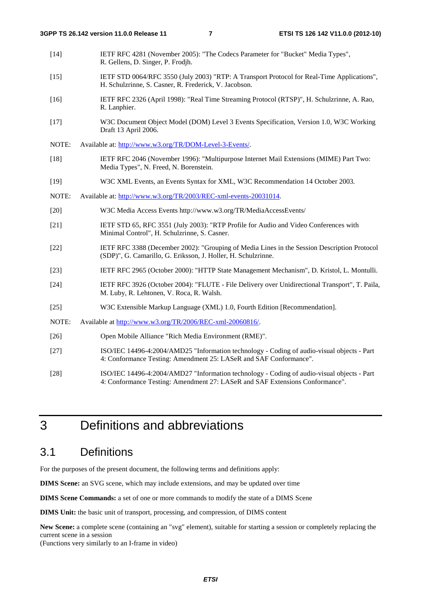- [14] IETF RFC 4281 (November 2005): "The Codecs Parameter for "Bucket" Media Types", R. Gellens, D. Singer, P. Frodjh.
- [15] IETF STD 0064/RFC 3550 (July 2003) "RTP: A Transport Protocol for Real-Time Applications", H. Schulzrinne, S. Casner, R. Frederick, V. Jacobson.
- [16] IETF RFC 2326 (April 1998): "Real Time Streaming Protocol (RTSP)", H. Schulzrinne, A. Rao, R. Lanphier.
- [17] W3C Document Object Model (DOM) Level 3 Events Specification, Version 1.0, W3C Working Draft 13 April 2006.
- NOTE: Available at:<http://www.w3.org/TR/DOM-Level-3-Events/>.
- [18] IETF RFC 2046 (November 1996): "Multipurpose Internet Mail Extensions (MIME) Part Two: Media Types", N. Freed, N. Borenstein.
- [19] W3C XML Events, an Events Syntax for XML, W3C Recommendation 14 October 2003.
- NOTE: Available at: [http://www.w3.org/TR/2003/REC-xml-events-20031014.](http://www.w3.org/TR/2003/REC-xml-events-20031014)
- [20] W3C Media Access Events http://www.w3.org/TR/MediaAccessEvents/
- [21] IETF STD 65, RFC 3551 (July 2003): "RTP Profile for Audio and Video Conferences with Minimal Control", H. Schulzrinne, S. Casner.
- [22] IETF RFC 3388 (December 2002): "Grouping of Media Lines in the Session Description Protocol (SDP)", G. Camarillo, G. Eriksson, J. Holler, H. Schulzrinne.
- [23] IETF RFC 2965 (October 2000): "HTTP State Management Mechanism", D. Kristol, L. Montulli.
- [24] IETF RFC 3926 (October 2004): "FLUTE File Delivery over Unidirectional Transport", T. Paila, M. Luby, R. Lehtonen, V. Roca, R. Walsh.
- [25] W3C Extensible Markup Language (XML) 1.0, Fourth Edition [Recommendation].
- NOTE: Available at [http://www.w3.org/TR/2006/REC-xml-20060816/.](http://www.w3.org/TR/2006/REC-xml-20060816/)
- [26] Open Mobile Alliance "Rich Media Environment (RME)".
- [27] ISO/IEC 14496-4:2004/AMD25 "Information technology Coding of audio-visual objects Part 4: Conformance Testing: Amendment 25: LASeR and SAF Conformance".
- [28] ISO/IEC 14496-4:2004/AMD27 "Information technology Coding of audio-visual objects Part 4: Conformance Testing: Amendment 27: LASeR and SAF Extensions Conformance".

# 3 Definitions and abbreviations

# 3.1 Definitions

For the purposes of the present document, the following terms and definitions apply:

**DIMS Scene:** an SVG scene, which may include extensions, and may be updated over time

**DIMS Scene Commands:** a set of one or more commands to modify the state of a DIMS Scene

**DIMS Unit:** the basic unit of transport, processing, and compression, of DIMS content

**New Scene:** a complete scene (containing an "svg" element), suitable for starting a session or completely replacing the current scene in a session

(Functions very similarly to an I-frame in video)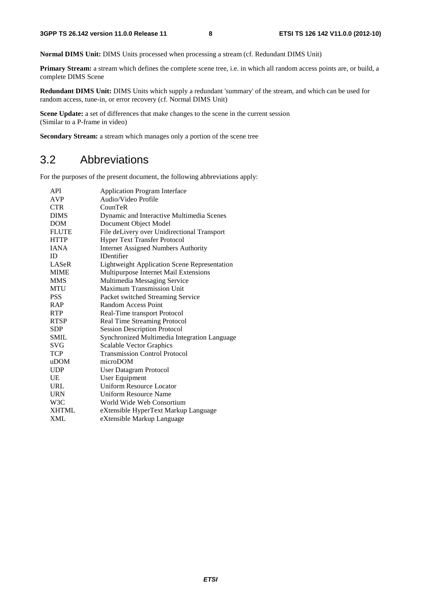**Normal DIMS Unit:** DIMS Units processed when processing a stream (cf. Redundant DIMS Unit)

**Primary Stream:** a stream which defines the complete scene tree, i.e. in which all random access points are, or build, a complete DIMS Scene

**Redundant DIMS Unit:** DIMS Units which supply a redundant 'summary' of the stream, and which can be used for random access, tune-in, or error recovery (cf. Normal DIMS Unit)

**Scene Update:** a set of differences that make changes to the scene in the current session (Similar to a P-frame in video)

**Secondary Stream:** a stream which manages only a portion of the scene tree

# 3.2 Abbreviations

For the purposes of the present document, the following abbreviations apply:

| <b>API</b>       | <b>Application Program Interface</b>                |
|------------------|-----------------------------------------------------|
| <b>AVP</b>       | Audio/Video Profile                                 |
| <b>CTR</b>       | CounTeR                                             |
| <b>DIMS</b>      | Dynamic and Interactive Multimedia Scenes           |
| <b>DOM</b>       | Document Object Model                               |
| <b>FLUTE</b>     | File deLivery over Unidirectional Transport         |
| <b>HTTP</b>      | <b>Hyper Text Transfer Protocol</b>                 |
| <b>IANA</b>      | <b>Internet Assigned Numbers Authority</b>          |
| ID               | <b>IDentifier</b>                                   |
| LASeR            | <b>Lightweight Application Scene Representation</b> |
| <b>MIME</b>      | Multipurpose Internet Mail Extensions               |
| <b>MMS</b>       | Multimedia Messaging Service                        |
| MTU              | Maximum Transmission Unit                           |
| <b>PSS</b>       | Packet switched Streaming Service                   |
| <b>RAP</b>       | <b>Random Access Point</b>                          |
| <b>RTP</b>       | Real-Time transport Protocol                        |
| <b>RTSP</b>      | Real Time Streaming Protocol                        |
| <b>SDP</b>       | <b>Session Description Protocol</b>                 |
| <b>SMIL</b>      | Synchronized Multimedia Integration Language        |
| <b>SVG</b>       | <b>Scalable Vector Graphics</b>                     |
| <b>TCP</b>       | <b>Transmission Control Protocol</b>                |
| uDOM             | microDOM                                            |
| <b>UDP</b>       | User Datagram Protocol                              |
| UE               | User Equipment                                      |
| URL              | <b>Uniform Resource Locator</b>                     |
| <b>URN</b>       | <b>Uniform Resource Name</b>                        |
| W <sub>3</sub> C | World Wide Web Consortium                           |
| <b>XHTML</b>     | eXtensible HyperText Markup Language                |
| <b>XML</b>       | eXtensible Markup Language                          |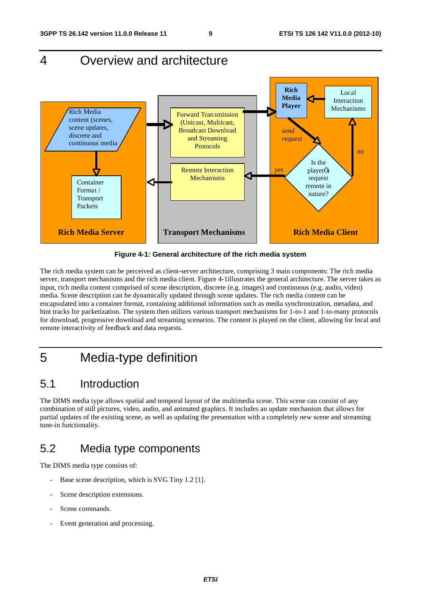# 4 Overview and architecture



**Figure 4-1: General architecture of the rich media system** 

The rich media system can be perceived as client-server architecture, comprising 3 main components: The rich media server, transport mechanisms and the rich media client. Figure 4-1illustrates the general architecture. The server takes as input, rich media content comprised of scene description, discrete (e.g. images) and continuous (e.g. audio, video) media. Scene description can be dynamically updated through scene updates. The rich media content can be encapsulated into a container format, containing additional information such as media synchronization, metadata, and hint tracks for packetization. The system then utilizes various transport mechanisms for 1-to-1 and 1-to-many protocols for download, progressive download and streaming scenarios. The content is played on the client, allowing for local and remote interactivity of feedback and data requests.

# 5 Media-type definition

# 5.1 Introduction

The DIMS media type allows spatial and temporal layout of the multimedia scene. This scene can consist of any combination of still pictures, video, audio, and animated graphics. It includes an update mechanism that allows for partial updates of the existing scene, as well as updating the presentation with a completely new scene and streaming tune-in functionality.

# 5.2 Media type components

The DIMS media type consists of:

- Base scene description, which is SVG Tiny 1.2 [1].
- Scene description extensions.
- Scene commands.
- Event generation and processing.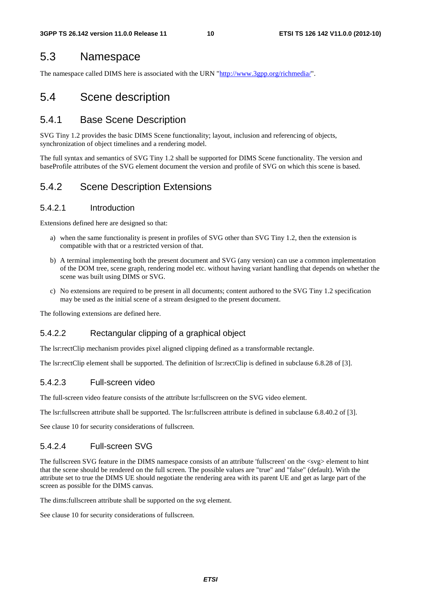# 5.3 Namespace

The namespace called DIMS here is associated with the URN ["http://www.3gpp.org/richmedia/](http://www.3gpp.org/richmedia/)".

# 5.4 Scene description

# 5.4.1 Base Scene Description

SVG Tiny 1.2 provides the basic DIMS Scene functionality; layout, inclusion and referencing of objects, synchronization of object timelines and a rendering model.

The full syntax and semantics of SVG Tiny 1.2 shall be supported for DIMS Scene functionality. The version and baseProfile attributes of the SVG element document the version and profile of SVG on which this scene is based.

# 5.4.2 Scene Description Extensions

### 5.4.2.1 Introduction

Extensions defined here are designed so that:

- a) when the same functionality is present in profiles of SVG other than SVG Tiny 1.2, then the extension is compatible with that or a restricted version of that.
- b) A terminal implementing both the present document and SVG (any version) can use a common implementation of the DOM tree, scene graph, rendering model etc. without having variant handling that depends on whether the scene was built using DIMS or SVG.
- c) No extensions are required to be present in all documents; content authored to the SVG Tiny 1.2 specification may be used as the initial scene of a stream designed to the present document.

The following extensions are defined here.

# 5.4.2.2 Rectangular clipping of a graphical object

The lsr:rectClip mechanism provides pixel aligned clipping defined as a transformable rectangle.

The lsr:rectClip element shall be supported. The definition of lsr:rectClip is defined in subclause 6.8.28 of [3].

### 5.4.2.3 Full-screen video

The full-screen video feature consists of the attribute lsr:fullscreen on the SVG video element.

The lsr:fullscreen attribute shall be supported. The lsr:fullscreen attribute is defined in subclause 6.8.40.2 of [3].

See clause 10 for security considerations of fullscreen.

# 5.4.2.4 Full-screen SVG

The fullscreen SVG feature in the DIMS namespace consists of an attribute 'fullscreen' on the <svg> element to hint that the scene should be rendered on the full screen. The possible values are "true" and "false" (default). With the attribute set to true the DIMS UE should negotiate the rendering area with its parent UE and get as large part of the screen as possible for the DIMS canvas.

The dims:fullscreen attribute shall be supported on the svg element.

See clause 10 for security considerations of fullscreen.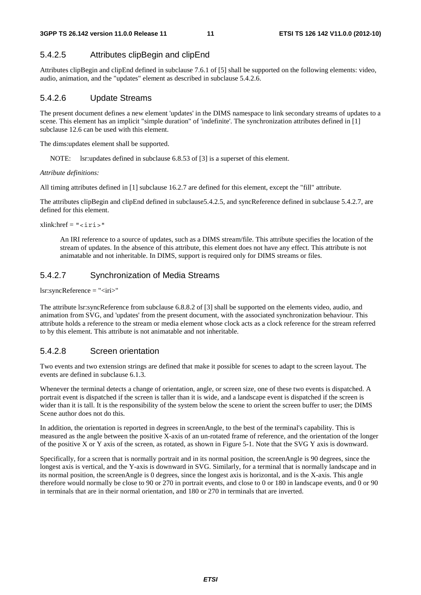### 5.4.2.5 Attributes clipBegin and clipEnd

Attributes clipBegin and clipEnd defined in subclause 7.6.1 of [5] shall be supported on the following elements: video, audio, animation, and the "updates" element as described in subclause 5.4.2.6.

### 5.4.2.6 Update Streams

The present document defines a new element 'updates' in the DIMS namespace to link secondary streams of updates to a scene. This element has an implicit "simple duration" of 'indefinite'. The synchronization attributes defined in [1] subclause 12.6 can be used with this element.

The dims:updates element shall be supported.

NOTE: lsr:updates defined in subclause 6.8.53 of [3] is a superset of this element.

*Attribute definitions:*

All timing attributes defined in [1] subclause 16.2.7 are defined for this element, except the "fill" attribute.

The attributes clipBegin and clipEnd defined in subclause5.4.2.5, and syncReference defined in subclause 5.4.2.7, are defined for this element.

 $xlink: href = "ciris"$ 

 An IRI reference to a source of updates, such as a DIMS stream/file. This attribute specifies the location of the stream of updates. In the absence of this attribute, this element does not have any effect. This attribute is not animatable and not inheritable. In DIMS, support is required only for DIMS streams or files.

### 5.4.2.7 Synchronization of Media Streams

 $lsr:syncReference = "*circ*"$ 

The attribute lsr:syncReference from subclause 6.8.8.2 of [3] shall be supported on the elements video, audio, and animation from SVG, and 'updates' from the present document, with the associated synchronization behaviour. This attribute holds a reference to the stream or media element whose clock acts as a clock reference for the stream referred to by this element. This attribute is not animatable and not inheritable.

### 5.4.2.8 Screen orientation

Two events and two extension strings are defined that make it possible for scenes to adapt to the screen layout. The events are defined in subclause 6.1.3.

Whenever the terminal detects a change of orientation, angle, or screen size, one of these two events is dispatched. A portrait event is dispatched if the screen is taller than it is wide, and a landscape event is dispatched if the screen is wider than it is tall. It is the responsibility of the system below the scene to orient the screen buffer to user; the DIMS Scene author does not do this.

In addition, the orientation is reported in degrees in screenAngle, to the best of the terminal's capability. This is measured as the angle between the positive X-axis of an un-rotated frame of reference, and the orientation of the longer of the positive X or Y axis of the screen, as rotated, as shown in Figure 5-1. Note that the SVG Y axis is downward.

Specifically, for a screen that is normally portrait and in its normal position, the screenAngle is 90 degrees, since the longest axis is vertical, and the Y-axis is downward in SVG. Similarly, for a terminal that is normally landscape and in its normal position, the screenAngle is 0 degrees, since the longest axis is horizontal, and is the X-axis. This angle therefore would normally be close to 90 or 270 in portrait events, and close to 0 or 180 in landscape events, and 0 or 90 in terminals that are in their normal orientation, and 180 or 270 in terminals that are inverted.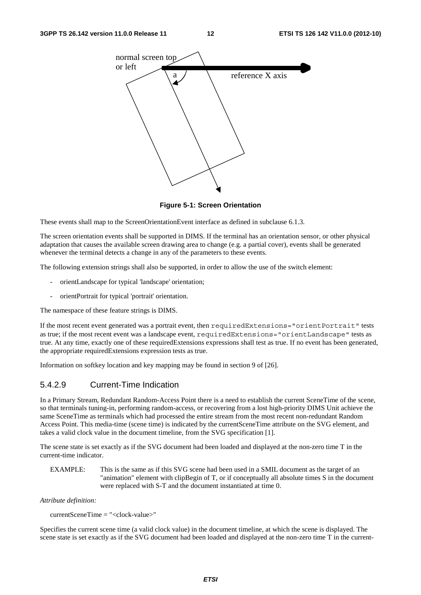#### **3GPP TS 26.142 version 11.0.0 Release 11 12 ETSI TS 126 142 V11.0.0 (2012-10)**



**Figure 5-1: Screen Orientation** 

These events shall map to the ScreenOrientationEvent interface as defined in subclause 6.1.3.

The screen orientation events shall be supported in DIMS. If the terminal has an orientation sensor, or other physical adaptation that causes the available screen drawing area to change (e.g. a partial cover), events shall be generated whenever the terminal detects a change in any of the parameters to these events.

The following extension strings shall also be supported, in order to allow the use of the switch element:

- orientLandscape for typical 'landscape' orientation;
- orientPortrait for typical 'portrait' orientation.

The namespace of these feature strings is DIMS.

If the most recent event generated was a portrait event, then requiredExtensions="orientPortrait" tests as true; if the most recent event was a landscape event, requiredExtensions="orientLandscape" tests as true. At any time, exactly one of these requiredExtensions expressions shall test as true. If no event has been generated, the appropriate requiredExtensions expression tests as true.

Information on softkey location and key mapping may be found in section 9 of [26].

### 5.4.2.9 Current-Time Indication

In a Primary Stream, Redundant Random-Access Point there is a need to establish the current SceneTime of the scene, so that terminals tuning-in, performing random-access, or recovering from a lost high-priority DIMS Unit achieve the same SceneTime as terminals which had processed the entire stream from the most recent non-redundant Random Access Point. This media-time (scene time) is indicated by the currentSceneTime attribute on the SVG element, and takes a valid clock value in the document timeline, from the SVG specification [1].

The scene state is set exactly as if the SVG document had been loaded and displayed at the non-zero time T in the current-time indicator.

EXAMPLE: This is the same as if this SVG scene had been used in a SMIL document as the target of an "animation" element with clipBegin of T, or if conceptually all absolute times S in the document were replaced with S-T and the document instantiated at time 0.

*Attribute definition:* 

```
currentSceneTime = "<clock-value>"
```
Specifies the current scene time (a valid clock value) in the document timeline, at which the scene is displayed. The scene state is set exactly as if the SVG document had been loaded and displayed at the non-zero time T in the current-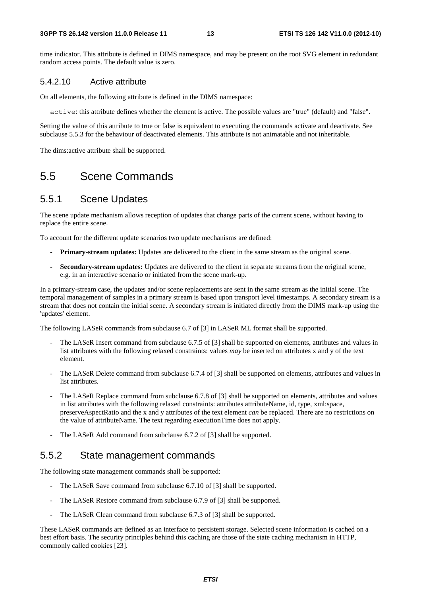#### **3GPP TS 26.142 version 11.0.0 Release 11 13 ETSI TS 126 142 V11.0.0 (2012-10)**

time indicator. This attribute is defined in DIMS namespace, and may be present on the root SVG element in redundant random access points. The default value is zero.

### 5.4.2.10 Active attribute

On all elements, the following attribute is defined in the DIMS namespace:

active: this attribute defines whether the element is active. The possible values are "true" (default) and "false".

Setting the value of this attribute to true or false is equivalent to executing the commands activate and deactivate. See subclause 5.5.3 for the behaviour of deactivated elements. This attribute is not animatable and not inheritable.

The dims:active attribute shall be supported.

# 5.5 Scene Commands

# 5.5.1 Scene Updates

The scene update mechanism allows reception of updates that change parts of the current scene, without having to replace the entire scene.

To account for the different update scenarios two update mechanisms are defined:

- **Primary-stream updates:** Updates are delivered to the client in the same stream as the original scene.
- **Secondary-stream updates:** Updates are delivered to the client in separate streams from the original scene, e.g. in an interactive scenario or initiated from the scene mark-up.

In a primary-stream case, the updates and/or scene replacements are sent in the same stream as the initial scene. The temporal management of samples in a primary stream is based upon transport level timestamps. A secondary stream is a stream that does not contain the initial scene. A secondary stream is initiated directly from the DIMS mark-up using the 'updates' element.

The following LASeR commands from subclause 6.7 of [3] in LASeR ML format shall be supported.

- The LASeR Insert command from subclause 6.7.5 of [3] shall be supported on elements, attributes and values in list attributes with the following relaxed constraints: values *may* be inserted on attributes x and y of the text element.
- The LASeR Delete command from subclause 6.7.4 of [3] shall be supported on elements, attributes and values in list attributes.
- The LASeR Replace command from subclause 6.7.8 of [3] shall be supported on elements, attributes and values in list attributes with the following relaxed constraints: attributes attributeName, id, type, xml:space, preserveAspectRatio and the x and y attributes of the text element *can* be replaced. There are no restrictions on the value of attributeName. The text regarding executionTime does not apply.
- The LASeR Add command from subclause 6.7.2 of [3] shall be supported.

# 5.5.2 State management commands

The following state management commands shall be supported:

- The LASeR Save command from subclause 6.7.10 of [3] shall be supported.
- The LASeR Restore command from subclause 6.7.9 of [3] shall be supported.
- The LASeR Clean command from subclause 6.7.3 of [3] shall be supported.

These LASeR commands are defined as an interface to persistent storage. Selected scene information is cached on a best effort basis. The security principles behind this caching are those of the state caching mechanism in HTTP, commonly called cookies [23].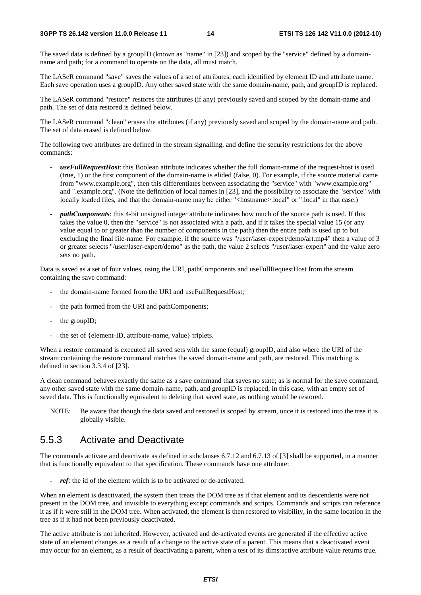The saved data is defined by a groupID (known as "name" in [23]) and scoped by the "service" defined by a domainname and path; for a command to operate on the data, all must match.

The LASeR command "save" saves the values of a set of attributes, each identified by element ID and attribute name. Each save operation uses a groupID. Any other saved state with the same domain-name, path, and groupID is replaced.

The LASeR command "restore" restores the attributes (if any) previously saved and scoped by the domain-name and path. The set of data restored is defined below.

The LASeR command "clean" erases the attributes (if any) previously saved and scoped by the domain-name and path. The set of data erased is defined below.

The following two attributes are defined in the stream signalling, and define the security restrictions for the above commands:

- *useFullRequestHost*: this Boolean attribute indicates whether the full domain-name of the request-host is used (true, 1) or the first component of the domain-name is elided (false, 0). For example, if the source material came from "www.example.org", then this differentiates between associating the "service" with "www.example.org" and ".example.org". (Note the definition of local names in [23], and the possibility to associate the "service" with locally loaded files, and that the domain-name may be either "<hostname>.local" or ".local" in that case.)
- *pathComponents*: this 4-bit unsigned integer attribute indicates how much of the source path is used. If this takes the value 0, then the "service" is not associated with a path, and if it takes the special value 15 (or any value equal to or greater than the number of components in the path) then the entire path is used up to but excluding the final file-name. For example, if the source was "/user/laser-expert/demo/art.mp4" then a value of 3 or greater selects "/user/laser-expert/demo" as the path, the value 2 selects "/user/laser-expert" and the value zero sets no path.

Data is saved as a set of four values, using the URI, pathComponents and useFullRequestHost from the stream containing the save command:

- the domain-name formed from the URI and useFullRequestHost;
- the path formed from the URI and pathComponents;
- the groupID;
- the set of {element-ID, attribute-name, value} triplets.

When a restore command is executed all saved sets with the same (equal) groupID, and also where the URI of the stream containing the restore command matches the saved domain-name and path, are restored. This matching is defined in section 3.3.4 of [23].

A clean command behaves exactly the same as a save command that saves no state; as is normal for the save command, any other saved state with the same domain-name, path, and groupID is replaced, in this case, with an empty set of saved data. This is functionally equivalent to deleting that saved state, as nothing would be restored.

NOTE: Be aware that though the data saved and restored is scoped by stream, once it is restored into the tree it is globally visible.

# 5.5.3 Activate and Deactivate

The commands activate and deactivate as defined in subclauses 6.7.12 and 6.7.13 of [3] shall be supported, in a manner that is functionally equivalent to that specification. These commands have one attribute:

*ref*: the id of the element which is to be activated or de-activated.

When an element is deactivated, the system then treats the DOM tree as if that element and its descendents were not present in the DOM tree, and invisible to everything except commands and scripts. Commands and scripts can reference it as if it were still in the DOM tree. When activated, the element is then restored to visibility, in the same location in the tree as if it had not been previously deactivated.

The active attribute is not inherited. However, activated and de-activated events are generated if the effective active state of an element changes as a result of a change to the active state of a parent. This means that a deactivated event may occur for an element, as a result of deactivating a parent, when a test of its dims:active attribute value returns true.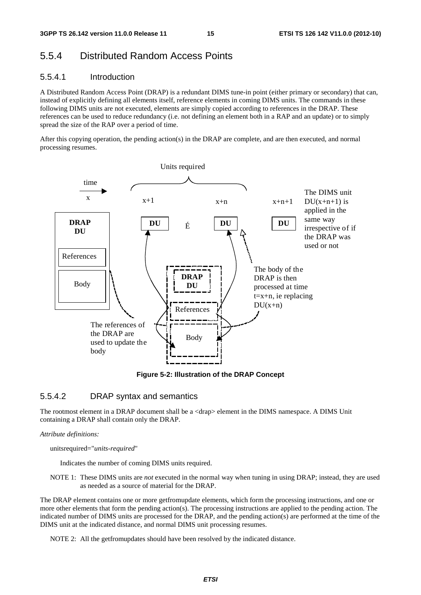# 5.5.4 Distributed Random Access Points

### 5.5.4.1 Introduction

A Distributed Random Access Point (DRAP) is a redundant DIMS tune-in point (either primary or secondary) that can, instead of explicitly defining all elements itself, reference elements in coming DIMS units. The commands in these following DIMS units are not executed, elements are simply copied according to references in the DRAP. These references can be used to reduce redundancy (i.e. not defining an element both in a RAP and an update) or to simply spread the size of the RAP over a period of time.

After this copying operation, the pending action(s) in the DRAP are complete, and are then executed, and normal processing resumes.



**Figure 5-2: Illustration of the DRAP Concept** 

### 5.5.4.2 DRAP syntax and semantics

The rootmost element in a DRAP document shall be a  $\langle \text{drap} \rangle$  element in the DIMS namespace. A DIMS Unit containing a DRAP shall contain only the DRAP.

#### *Attribute definitions:*

unitsrequired="*units-required*"

Indicates the number of coming DIMS units required.

NOTE 1: These DIMS units are *not* executed in the normal way when tuning in using DRAP; instead, they are used as needed as a source of material for the DRAP.

The DRAP element contains one or more getfromupdate elements, which form the processing instructions, and one or more other elements that form the pending action(s). The processing instructions are applied to the pending action. The indicated number of DIMS units are processed for the DRAP, and the pending action(s) are performed at the time of the DIMS unit at the indicated distance, and normal DIMS unit processing resumes.

NOTE 2: All the getfromupdates should have been resolved by the indicated distance.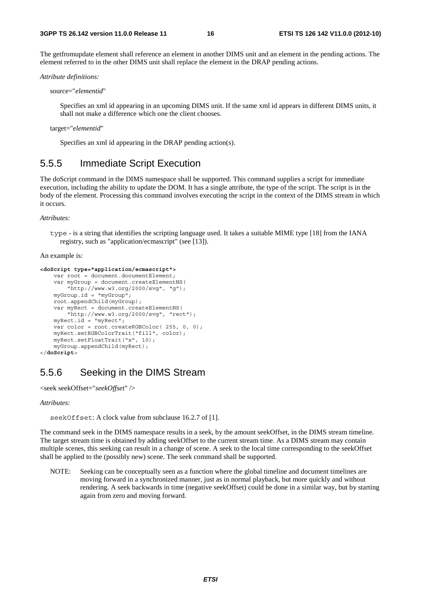The getfromupdate element shall reference an element in another DIMS unit and an element in the pending actions. The element referred to in the other DIMS unit shall replace the element in the DRAP pending actions.

*Attribute definitions:* 

source="*elementid*"

Specifies an xml id appearing in an upcoming DIMS unit. If the same xml id appears in different DIMS units, it shall not make a difference which one the client chooses.

```
target="elementid"
```
Specifies an xml id appearing in the DRAP pending action(s).

### 5.5.5 Immediate Script Execution

The doScript command in the DIMS namespace shall be supported. This command supplies a script for immediate execution, including the ability to update the DOM. It has a single attribute, the type of the script. The script is in the body of the element. Processing this command involves executing the script in the context of the DIMS stream in which it occurs.

*Attributes:* 

type - is a string that identifies the scripting language used. It takes a suitable MIME type [18] from the IANA registry, such as "application/ecmascript" (see [13]).

An example is:

```
<doScript type="application/ecmascript"> 
    var root = document.documentElement;
     var myGroup = document.createElementNS( 
         "http://www.w3.org/2000/svg", "g"); 
     myGroup.id = "myGroup"; 
     root.appendChild(myGroup); 
    var myRect = document.createElementNS(
         "http://www.w3.org/2000/svg", "rect"); 
     myRect.id = "myRect"; 
     var color = root.createRGBColor( 255, 0, 0); 
     myRect.setRGBColorTrait("fill", color); 
     myRect.setFloatTrait("x", 10); 
     myGroup.appendChild(myRect); 
</doScript>
```
# 5.5.6 Seeking in the DIMS Stream

```
<seek seekOffset="seekOffset" />
```
*Attributes:* 

seekOffset: A clock value from subclause 16.2.7 of [1].

The command seek in the DIMS namespace results in a seek, by the amount seekOffset, in the DIMS stream timeline. The target stream time is obtained by adding seekOffset to the current stream time. As a DIMS stream may contain multiple scenes, this seeking can result in a change of scene. A seek to the local time corresponding to the seekOffset shall be applied to the (possibly new) scene. The seek command shall be supported.

NOTE: Seeking can be conceptually seen as a function where the global timeline and document timelines are moving forward in a synchronized manner, just as in normal playback, but more quickly and without rendering. A seek backwards in time (negative seekOffset) could be done in a similar way, but by starting again from zero and moving forward.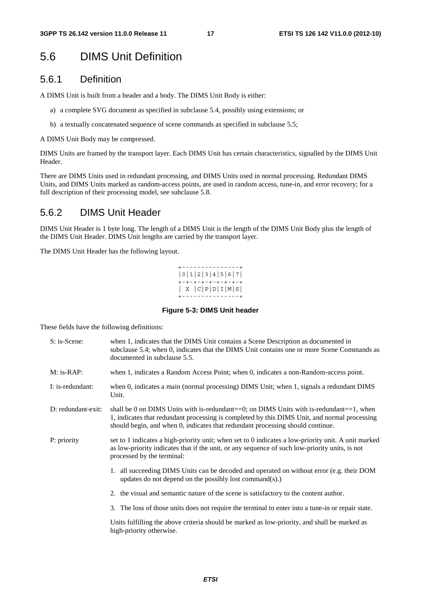# 5.6 DIMS Unit Definition

### 5.6.1 Definition

A DIMS Unit is built from a header and a body. The DIMS Unit Body is either:

- a) a complete SVG document as specified in subclause 5.4, possibly using extensions; or
- b) a textually concatenated sequence of scene commands as specified in subclause 5.5;

A DIMS Unit Body may be compressed.

DIMS Units are framed by the transport layer. Each DIMS Unit has certain characteristics, signalled by the DIMS Unit Header.

There are DIMS Units used in redundant processing, and DIMS Units used in normal processing. Redundant DIMS Units, and DIMS Units marked as random-access points, are used in random access, tune-in, and error recovery; for a full description of their processing model, see subclause 5.8.

# 5.6.2 DIMS Unit Header

DIMS Unit Header is 1 byte long. The length of a DIMS Unit is the length of the DIMS Unit Body plus the length of the DIMS Unit Header. DIMS Unit lengths are carried by the transport layer.

The DIMS Unit Header has the following layout.



#### **Figure 5-3: DIMS Unit header**

These fields have the following definitions:

| S: is-Scene:       | when 1, indicates that the DIMS Unit contains a Scene Description as documented in<br>subclause 5.4; when 0, indicates that the DIMS Unit contains one or more Scene Commands as<br>documented in subclause 5.5.                                                                |
|--------------------|---------------------------------------------------------------------------------------------------------------------------------------------------------------------------------------------------------------------------------------------------------------------------------|
| $M:$ is-RAP:       | when 1, indicates a Random Access Point; when 0, indicates a non-Random-access point.                                                                                                                                                                                           |
| I: is-redundant:   | when 0, indicates a main (normal processing) DIMS Unit; when 1, signals a redundant DIMS<br>Unit.                                                                                                                                                                               |
| D: redundant-exit: | shall be 0 on DIMS Units with is-redundant $=0$ ; on DIMS Units with is-redundant $=1$ , when<br>1, indicates that redundant processing is completed by this DIMS Unit, and normal processing<br>should begin, and when 0, indicates that redundant processing should continue. |
| P: priority        | set to 1 indicates a high-priority unit; when set to 0 indicates a low-priority unit. A unit marked<br>as low-priority indicates that if the unit, or any sequence of such low-priority units, is not<br>processed by the terminal:                                             |
|                    | 1. all succeeding DIMS Units can be decoded and operated on without error (e.g. their DOM<br>updates do not depend on the possibly lost command $(s)$ .)                                                                                                                        |
|                    | 2. the visual and semantic nature of the scene is satisfactory to the content author.                                                                                                                                                                                           |
|                    | 3. The loss of those units does not require the terminal to enter into a tune-in or repair state.                                                                                                                                                                               |
|                    | Units fulfilling the above criteria should be marked as low-priority, and shall be marked as<br>high-priority otherwise.                                                                                                                                                        |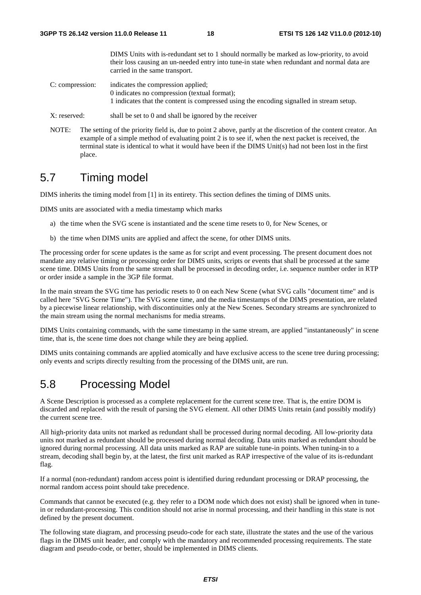DIMS Units with is-redundant set to 1 should normally be marked as low-priority, to avoid their loss causing an un-needed entry into tune-in state when redundant and normal data are carried in the same transport.

- C: compression: indicates the compression applied; 0 indicates no compression (textual format); 1 indicates that the content is compressed using the encoding signalled in stream setup.
- X: reserved: shall be set to 0 and shall be ignored by the receiver
- NOTE: The setting of the priority field is, due to point 2 above, partly at the discretion of the content creator. An example of a simple method of evaluating point 2 is to see if, when the next packet is received, the terminal state is identical to what it would have been if the DIMS Unit(s) had not been lost in the first place.

# 5.7 Timing model

DIMS inherits the timing model from [1] in its entirety. This section defines the timing of DIMS units.

DIMS units are associated with a media timestamp which marks

- a) the time when the SVG scene is instantiated and the scene time resets to 0, for New Scenes, or
- b) the time when DIMS units are applied and affect the scene, for other DIMS units.

The processing order for scene updates is the same as for script and event processing. The present document does not mandate any relative timing or processing order for DIMS units, scripts or events that shall be processed at the same scene time. DIMS Units from the same stream shall be processed in decoding order, i.e. sequence number order in RTP or order inside a sample in the 3GP file format.

In the main stream the SVG time has periodic resets to 0 on each New Scene (what SVG calls "document time" and is called here "SVG Scene Time"). The SVG scene time, and the media timestamps of the DIMS presentation, are related by a piecewise linear relationship, with discontinuities only at the New Scenes. Secondary streams are synchronized to the main stream using the normal mechanisms for media streams.

DIMS Units containing commands, with the same timestamp in the same stream, are applied "instantaneously" in scene time, that is, the scene time does not change while they are being applied.

DIMS units containing commands are applied atomically and have exclusive access to the scene tree during processing; only events and scripts directly resulting from the processing of the DIMS unit, are run.

# 5.8 Processing Model

A Scene Description is processed as a complete replacement for the current scene tree. That is, the entire DOM is discarded and replaced with the result of parsing the SVG element. All other DIMS Units retain (and possibly modify) the current scene tree.

All high-priority data units not marked as redundant shall be processed during normal decoding. All low-priority data units not marked as redundant should be processed during normal decoding. Data units marked as redundant should be ignored during normal processing. All data units marked as RAP are suitable tune-in points. When tuning-in to a stream, decoding shall begin by, at the latest, the first unit marked as RAP irrespective of the value of its is-redundant flag.

If a normal (non-redundant) random access point is identified during redundant processing or DRAP processing, the normal random access point should take precedence.

Commands that cannot be executed (e.g. they refer to a DOM node which does not exist) shall be ignored when in tunein or redundant-processing. This condition should not arise in normal processing, and their handling in this state is not defined by the present document.

The following state diagram, and processing pseudo-code for each state, illustrate the states and the use of the various flags in the DIMS unit header, and comply with the mandatory and recommended processing requirements. The state diagram and pseudo-code, or better, should be implemented in DIMS clients.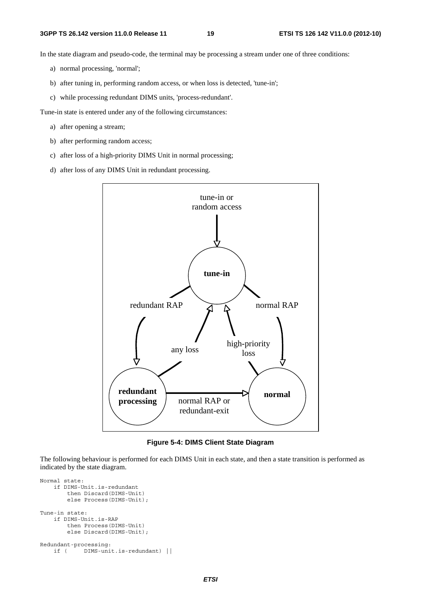In the state diagram and pseudo-code, the terminal may be processing a stream under one of three conditions:

- a) normal processing, 'normal';
- b) after tuning in, performing random access, or when loss is detected, 'tune-in';
- c) while processing redundant DIMS units, 'process-redundant'.

Tune-in state is entered under any of the following circumstances:

- a) after opening a stream;
- b) after performing random access;
- c) after loss of a high-priority DIMS Unit in normal processing;
- d) after loss of any DIMS Unit in redundant processing.



**Figure 5-4: DIMS Client State Diagram** 

The following behaviour is performed for each DIMS Unit in each state, and then a state transition is performed as indicated by the state diagram.

```
Normal state: 
     if DIMS-Unit.is-redundant 
         then Discard(DIMS-Unit) 
         else Process(DIMS-Unit); 
Tune-in state: 
     if DIMS-Unit.is-RAP 
         then Process(DIMS-Unit) 
         else Discard(DIMS-Unit); 
Redundant-processing: 
     if ( DIMS-unit.is-redundant) ||
```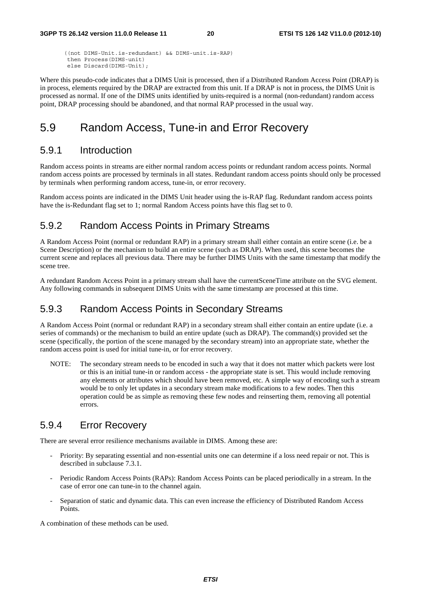```
 ((not DIMS-Unit.is-redundant) && DIMS-unit.is-RAP) 
 then Process(DIMS-unit) 
 else Discard(DIMS-Unit);
```
Where this pseudo-code indicates that a DIMS Unit is processed, then if a Distributed Random Access Point (DRAP) is in process, elements required by the DRAP are extracted from this unit. If a DRAP is not in process, the DIMS Unit is processed as normal. If one of the DIMS units identified by units-required is a normal (non-redundant) random access point, DRAP processing should be abandoned, and that normal RAP processed in the usual way.

# 5.9 Random Access, Tune-in and Error Recovery

### 5.9.1 Introduction

Random access points in streams are either normal random access points or redundant random access points. Normal random access points are processed by terminals in all states. Redundant random access points should only be processed by terminals when performing random access, tune-in, or error recovery.

Random access points are indicated in the DIMS Unit header using the is-RAP flag. Redundant random access points have the is-Redundant flag set to 1; normal Random Access points have this flag set to 0.

### 5.9.2 Random Access Points in Primary Streams

A Random Access Point (normal or redundant RAP) in a primary stream shall either contain an entire scene (i.e. be a Scene Description) or the mechanism to build an entire scene (such as DRAP). When used, this scene becomes the current scene and replaces all previous data. There may be further DIMS Units with the same timestamp that modify the scene tree.

A redundant Random Access Point in a primary stream shall have the currentSceneTime attribute on the SVG element. Any following commands in subsequent DIMS Units with the same timestamp are processed at this time.

### 5.9.3 Random Access Points in Secondary Streams

A Random Access Point (normal or redundant RAP) in a secondary stream shall either contain an entire update (i.e. a series of commands) or the mechanism to build an entire update (such as DRAP). The command(s) provided set the scene (specifically, the portion of the scene managed by the secondary stream) into an appropriate state, whether the random access point is used for initial tune-in, or for error recovery.

NOTE: The secondary stream needs to be encoded in such a way that it does not matter which packets were lost or this is an initial tune-in or random access - the appropriate state is set. This would include removing any elements or attributes which should have been removed, etc. A simple way of encoding such a stream would be to only let updates in a secondary stream make modifications to a few nodes. Then this operation could be as simple as removing these few nodes and reinserting them, removing all potential errors.

### 5.9.4 Error Recovery

There are several error resilience mechanisms available in DIMS. Among these are:

- Priority: By separating essential and non-essential units one can determine if a loss need repair or not. This is described in subclause 7.3.1.
- Periodic Random Access Points (RAPs): Random Access Points can be placed periodically in a stream. In the case of error one can tune-in to the channel again.
- Separation of static and dynamic data. This can even increase the efficiency of Distributed Random Access Points.

A combination of these methods can be used.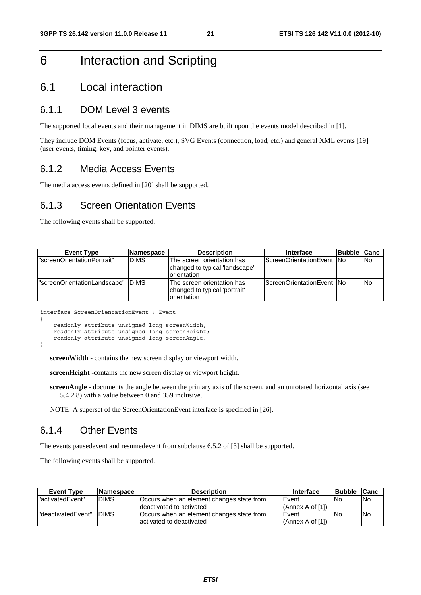# 6 Interaction and Scripting

# 6.1 Local interaction

### 6.1.1 DOM Level 3 events

The supported local events and their management in DIMS are built upon the events model described in [1].

They include DOM Events (focus, activate, etc.), SVG Events (connection, load, etc.) and general XML events [19] (user events, timing, key, and pointer events).

### 6.1.2 Media Access Events

The media access events defined in [20] shall be supported.

### 6.1.3 Screen Orientation Events

The following events shall be supported.

| <b>Event Type</b>            | <b>Namespace</b> | <b>Description</b>                                                           | <b>Interface</b>           | <b>Bubble</b> | <b>Canc</b> |
|------------------------------|------------------|------------------------------------------------------------------------------|----------------------------|---------------|-------------|
| "screenOrientationPortrait"  | <b>DIMS</b>      | The screen orientation has<br>changed to typical 'landscape'<br>Iorientation | ScreenOrientationEvent No  |               | No.         |
| "screenOrientationLandscape" | <b>IDIMS</b>     | The screen orientation has<br>changed to typical 'portrait'<br>orientation   | ScreenOrientationEvent INo |               | <b>No</b>   |

interface ScreenOrientationEvent : Event {

```
 readonly attribute unsigned long screenWidth; 
 readonly attribute unsigned long screenHeight; 
 readonly attribute unsigned long screenAngle;
```
**screenWidth** - contains the new screen display or viewport width.

**screenHeight** -contains the new screen display or viewport height.

**screenAngle** - documents the angle between the primary axis of the screen, and an unrotated horizontal axis (see 5.4.2.8) with a value between 0 and 359 inclusive.

NOTE: A superset of the ScreenOrientationEvent interface is specified in [26].

### 6.1.4 Other Events

}

The events pausedevent and resumedevent from subclause 6.5.2 of [3] shall be supported.

The following events shall be supported.

| <b>Event Type</b>   | ∣Namespace   | <b>Description</b>                        | <b>Interface</b>    | <b>Bubble</b> | <b>ICanc</b> |
|---------------------|--------------|-------------------------------------------|---------------------|---------------|--------------|
| "activatedEvent"    | <b>DIMS</b>  | Occurs when an element changes state from | <b>IEvent</b>       | <b>No</b>     | <b>INo</b>   |
|                     |              | deactivated to activated                  | l(Annex A of [1])   |               |              |
| l"deactivatedEvent" | <b>IDIMS</b> | Occurs when an element changes state from | <b>IEvent</b>       | <b>No</b>     | <b>No</b>    |
|                     |              | activated to deactivated                  | $(An$ nex A of [1]) |               |              |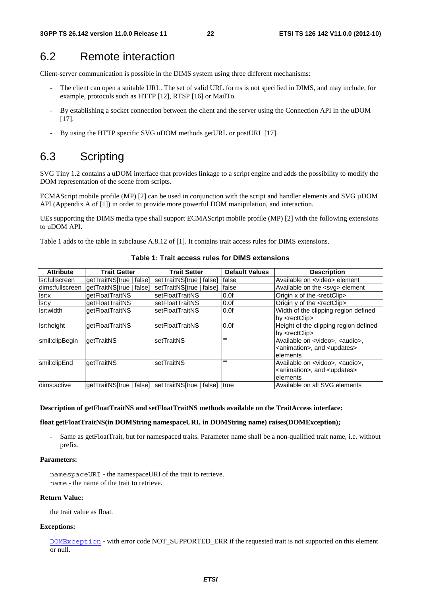# 6.2 Remote interaction

Client-server communication is possible in the DIMS system using three different mechanisms:

- The client can open a suitable URL. The set of valid URL forms is not specified in DIMS, and may include, for example, protocols such as HTTP [12], RTSP [16] or MailTo.
- By establishing a socket connection between the client and the server using the Connection API in the uDOM [17].
- By using the HTTP specific SVG uDOM methods getURL or postURL [17].

# 6.3 Scripting

SVG Tiny 1.2 contains a uDOM interface that provides linkage to a script engine and adds the possibility to modify the DOM representation of the scene from scripts.

ECMAScript mobile profile (MP) [2] can be used in conjunction with the script and handler elements and SVG  $\mu$ DOM API (Appendix A of [1]) in order to provide more powerful DOM manipulation, and interaction.

UEs supporting the DIMS media type shall support ECMAScript mobile profile (MP) [2] with the following extensions to uDOM API.

Table 1 adds to the table in subclause A.8.12 of [1]. It contains trait access rules for DIMS extensions.

| <b>Attribute</b><br><b>Trait Getter</b> |                                                           | <b>Trait Setter</b>           | <b>Default Values</b> | <b>Description</b>                                                                                                       |
|-----------------------------------------|-----------------------------------------------------------|-------------------------------|-----------------------|--------------------------------------------------------------------------------------------------------------------------|
| Isr:fullscreen                          | qetTraitNS[true<br>false]                                 | setTraitNS[true  <br>l false1 | false                 | Available on <video> element</video>                                                                                     |
| dims:fullscreen                         | getTraitNS[true  <br>falsel                               | setTraitNS[true   false]      | false                 | Available on the <svg> element</svg>                                                                                     |
| Isr:x                                   | <b>getFloatTraitNS</b>                                    | setFloatTraitNS               | 0.0f                  | Origin x of the <rectclip></rectclip>                                                                                    |
| Isr:y                                   | getFloatTraitNS                                           | setFloatTraitNS               | 0.0f                  | Origin y of the <rectclip></rectclip>                                                                                    |
| Isr:width                               | <b>getFloatTraitNS</b>                                    | setFloatTraitNS               | 0.0f                  | Width of the clipping region defined<br>by <cctclip< td=""></cctclip<>                                                   |
| Isr:height                              | getFloatTraitNS                                           | setFloatTraitNS               | 0.0f                  | Height of the clipping region defined<br>by <cctclip< td=""></cctclip<>                                                  |
| smil:clipBegin                          | getTraitNS                                                | setTraitNS                    | $\mathbf{H}$          | Available on <video>, <audio>,<br/><animation>, and <updates><br/>lelements</updates></animation></audio></video>        |
| smil:clipEnd                            | getTraitNS                                                | setTraitNS                    | $\mathbf{H}$          | Available on <video>, <audio>,<br/><animation>, and <updates><br/><b>lelements</b></updates></animation></audio></video> |
| dims:active                             | getTraitNS[true   false]  setTraitNS[true   false]   true |                               |                       | lAvailable on all SVG elements                                                                                           |

**Table 1: Trait access rules for DIMS extensions** 

#### **Description of getFloatTraitNS and setFloatTraitNS methods available on the TraitAccess interface:**

### **float getFloatTraitNS(in DOMString namespaceURI, in DOMString name) raises(DOMException);**

**-** Same as getFloatTrait, but for namespaced traits. Parameter name shall be a non-qualified trait name, i.e. without prefix.

#### **Parameters:**

namespaceURI - the namespaceURI of the trait to retrieve. name - the name of the trait to retrieve.

#### **Return Value:**

the trait value as float.

#### **Exceptions:**

DOMException - with error code NOT\_SUPPORTED\_ERR if the requested trait is not supported on this element or null.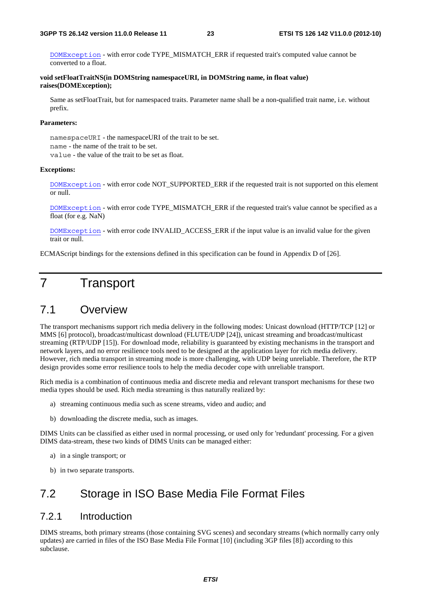DOMException - with error code TYPE\_MISMATCH\_ERR if requested trait's computed value cannot be converted to a float.

**void setFloatTraitNS(in DOMString namespaceURI, in DOMString name, in float value) raises(DOMException);** 

Same as setFloatTrait, but for namespaced traits. Parameter name shall be a non-qualified trait name, i.e. without prefix.

#### **Parameters:**

namespaceURI - the namespaceURI of the trait to be set. name - the name of the trait to be set. value - the value of the trait to be set as float.

#### **Exceptions:**

DOMException - with error code NOT\_SUPPORTED\_ERR if the requested trait is not supported on this element or null.

DOMException - with error code TYPE\_MISMATCH\_ERR if the requested trait's value cannot be specified as a float (for e.g. NaN)

DOMException - with error code INVALID\_ACCESS\_ERR if the input value is an invalid value for the given trait or null.

ECMAScript bindings for the extensions defined in this specification can be found in Appendix D of [26].

# 7 Transport

# 7.1 Overview

The transport mechanisms support rich media delivery in the following modes: Unicast download (HTTP/TCP [12] or MMS [6] protocol), broadcast/multicast download (FLUTE/UDP [24]), unicast streaming and broadcast/multicast streaming (RTP/UDP [15]). For download mode, reliability is guaranteed by existing mechanisms in the transport and network layers, and no error resilience tools need to be designed at the application layer for rich media delivery. However, rich media transport in streaming mode is more challenging, with UDP being unreliable. Therefore, the RTP design provides some error resilience tools to help the media decoder cope with unreliable transport.

Rich media is a combination of continuous media and discrete media and relevant transport mechanisms for these two media types should be used. Rich media streaming is thus naturally realized by:

- a) streaming continuous media such as scene streams, video and audio; and
- b) downloading the discrete media, such as images.

DIMS Units can be classified as either used in normal processing, or used only for 'redundant' processing. For a given DIMS data-stream, these two kinds of DIMS Units can be managed either:

- a) in a single transport; or
- b) in two separate transports.

# 7.2 Storage in ISO Base Media File Format Files

### 7.2.1 Introduction

DIMS streams, both primary streams (those containing SVG scenes) and secondary streams (which normally carry only updates) are carried in files of the ISO Base Media File Format [10] (including 3GP files [8]) according to this subclause.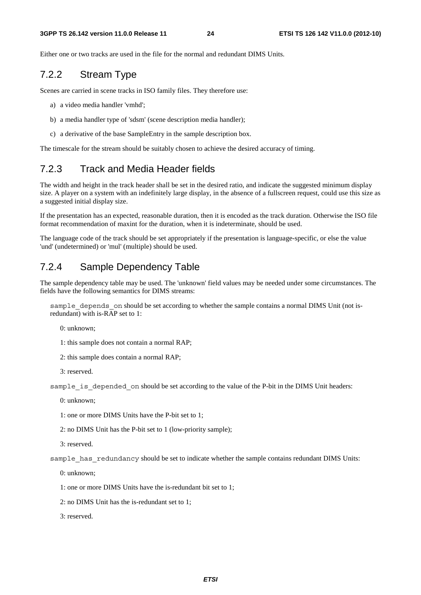Either one or two tracks are used in the file for the normal and redundant DIMS Units.

# 7.2.2 Stream Type

Scenes are carried in scene tracks in ISO family files. They therefore use:

a) a video media handler 'vmhd';

- b) a media handler type of 'sdsm' (scene description media handler);
- c) a derivative of the base SampleEntry in the sample description box.

The timescale for the stream should be suitably chosen to achieve the desired accuracy of timing.

# 7.2.3 Track and Media Header fields

The width and height in the track header shall be set in the desired ratio, and indicate the suggested minimum display size. A player on a system with an indefinitely large display, in the absence of a fullscreen request, could use this size as a suggested initial display size.

If the presentation has an expected, reasonable duration, then it is encoded as the track duration. Otherwise the ISO file format recommendation of maxint for the duration, when it is indeterminate, should be used.

The language code of the track should be set appropriately if the presentation is language-specific, or else the value 'und' (undetermined) or 'mul' (multiple) should be used.

### 7.2.4 Sample Dependency Table

The sample dependency table may be used. The 'unknown' field values may be needed under some circumstances. The fields have the following semantics for DIMS streams:

sample depends on should be set according to whether the sample contains a normal DIMS Unit (not isredundant) with is-RAP set to 1:

0: unknown;

1: this sample does not contain a normal RAP;

2: this sample does contain a normal RAP;

3: reserved.

sample is depended on should be set according to the value of the P-bit in the DIMS Unit headers:

0: unknown;

1: one or more DIMS Units have the P-bit set to 1;

2: no DIMS Unit has the P-bit set to 1 (low-priority sample);

3: reserved.

sample has redundancy should be set to indicate whether the sample contains redundant DIMS Units:

0: unknown;

1: one or more DIMS Units have the is-redundant bit set to 1;

2: no DIMS Unit has the is-redundant set to 1;

3: reserved.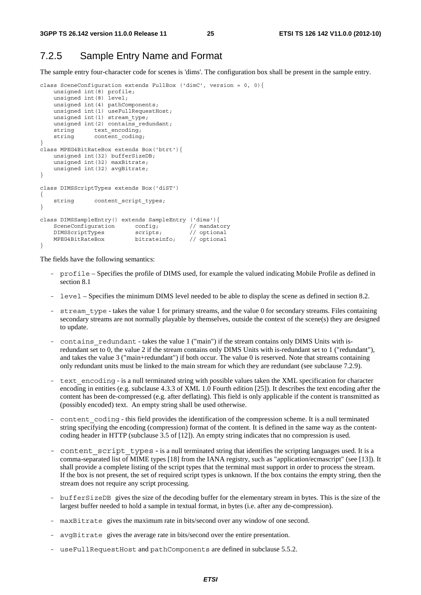### 7.2.5 Sample Entry Name and Format

The sample entry four-character code for scenes is 'dims'. The configuration box shall be present in the sample entry.

```
class SceneConfiguration extends FullBox ('dimC', version = 0, 0){ 
 unsigned int(8) profile; 
 unsigned int(8) level; 
     unsigned int(4) pathComponents; 
    unsigned int(1) useFullRequestHost;
    unsigned int(1) stream_type;
    unsigned int(2) contains_redundant;
    string text encoding;
    string content_coding;
} 
class MPEG4BitRateBox extends Box('btrt'){ 
     unsigned int(32) bufferSizeDB; 
     unsigned int(32) maxBitrate; 
     unsigned int(32) avgBitrate; 
} 
class DIMSScriptTypes extends Box('diST') 
{ 
    string content script_types;
} 
class DIMSSampleEntry() extends SampleEntry ('dims'){ 
    SceneConfiguration config; // mandator<br>DIMSScriptTypes scripts; // optional
     DIMSScriptTypes scripts; // optional 
     MPEG4BitRateBox bitrateinfo; // optional 
}
```
The fields have the following semantics:

- profile Specifies the profile of DIMS used, for example the valued indicating Mobile Profile as defined in section 8.1
- level Specifies the minimum DIMS level needed to be able to display the scene as defined in section 8.2.
- stream type takes the value 1 for primary streams, and the value 0 for secondary streams. Files containing secondary streams are not normally playable by themselves, outside the context of the scene(s) they are designed to update.
- contains redundant takes the value 1 ("main") if the stream contains only DIMS Units with isredundant set to 0, the value 2 if the stream contains only DIMS Units with is-redundant set to 1 ("redundant"), and takes the value 3 ("main+redundant") if both occur. The value 0 is reserved. Note that streams containing only redundant units must be linked to the main stream for which they are redundant (see subclause 7.2.9).
- text encoding is a null terminated string with possible values taken the XML specification for character encoding in entities (e.g. subclause 4.3.3 of XML 1.0 Fourth edition [25]). It describes the text encoding after the content has been de-compressed (e.g. after deflating). This field is only applicable if the content is transmitted as (possibly encoded) text. An empty string shall be used otherwise.
- content coding this field provides the identification of the compression scheme. It is a null terminated string specifying the encoding (compression) format of the content. It is defined in the same way as the contentcoding header in HTTP (subclause 3.5 of [12]). An empty string indicates that no compression is used.
- content script types is a null terminated string that identifies the scripting languages used. It is a comma-separated list of MIME types [18] from the IANA registry, such as "application/ecmascript" (see [13]). It shall provide a complete listing of the script types that the terminal must support in order to process the stream. If the box is not present, the set of required script types is unknown. If the box contains the empty string, then the stream does not require any script processing.
- bufferSizeDB gives the size of the decoding buffer for the elementary stream in bytes. This is the size of the largest buffer needed to hold a sample in textual format, in bytes (i.e. after any de-compression).
- maxBitrate gives the maximum rate in bits/second over any window of one second.
- avgBitrate gives the average rate in bits/second over the entire presentation.
- useFullRequestHost and pathComponents are defined in subclause 5.5.2.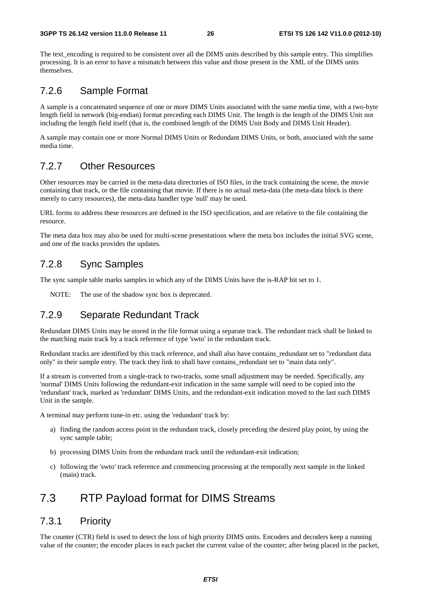The text encoding is required to be consistent over all the DIMS units described by this sample entry. This simplifies processing. It is an error to have a mismatch between this value and those present in the XML of the DIMS units themselves.

# 7.2.6 Sample Format

A sample is a concatenated sequence of one or more DIMS Units associated with the same media time, with a two-byte length field in network (big-endian) format preceding each DIMS Unit. The length is the length of the DIMS Unit not including the length field itself (that is, the combined length of the DIMS Unit Body and DIMS Unit Header).

A sample may contain one or more Normal DIMS Units or Redundant DIMS Units, or both, associated with the same media time.

### 7.2.7 Other Resources

Other resources may be carried in the meta-data directories of ISO files, in the track containing the scene, the movie containing that track, or the file containing that movie. If there is no actual meta-data (the meta-data block is there merely to carry resources), the meta-data handler type 'null' may be used.

URL forms to address these resources are defined in the ISO specification, and are relative to the file containing the resource.

The meta data box may also be used for multi-scene presentations where the meta box includes the initial SVG scene, and one of the tracks provides the updates.

### 7.2.8 Sync Samples

The sync sample table marks samples in which any of the DIMS Units have the is-RAP bit set to 1.

NOTE: The use of the shadow sync box is deprecated.

# 7.2.9 Separate Redundant Track

Redundant DIMS Units may be stored in the file format using a separate track. The redundant track shall be linked to the matching main track by a track reference of type 'swto' in the redundant track.

Redundant tracks are identified by this track reference, and shall also have contains\_redundant set to "redundant data only" in their sample entry. The track they link to shall have contains\_redundant set to "main data only".

If a stream is converted from a single-track to two-tracks, some small adjustment may be needed. Specifically, any 'normal' DIMS Units following the redundant-exit indication in the same sample will need to be copied into the 'redundant' track, marked as 'redundant' DIMS Units, and the redundant-exit indication moved to the last such DIMS Unit in the sample.

A terminal may perform tune-in etc. using the 'redundant' track by:

- a) finding the random access point in the redundant track, closely preceding the desired play point, by using the sync sample table;
- b) processing DIMS Units from the redundant track until the redundant-exit indication;
- c) following the 'swto' track reference and commencing processing at the temporally next sample in the linked (main) track.

# 7.3 RTP Payload format for DIMS Streams

### 7.3.1 Priority

The counter (CTR) field is used to detect the loss of high priority DIMS units. Encoders and decoders keep a running value of the counter; the encoder places in each packet the current value of the counter; after being placed in the packet,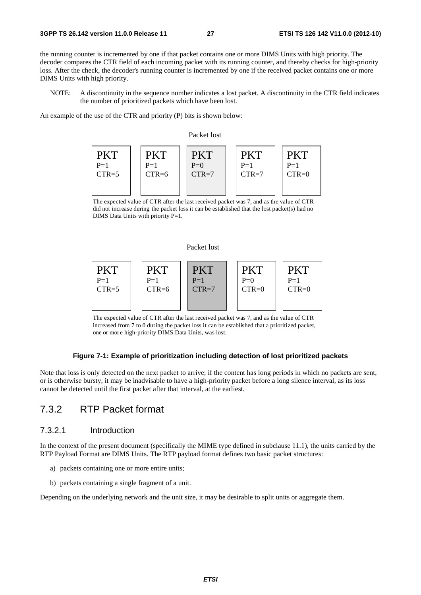the running counter is incremented by one if that packet contains one or more DIMS Units with high priority. The decoder compares the CTR field of each incoming packet with its running counter, and thereby checks for high-priority loss. After the check, the decoder's running counter is incremented by one if the received packet contains one or more DIMS Units with high priority.

NOTE: A discontinuity in the sequence number indicates a lost packet. A discontinuity in the CTR field indicates the number of prioritized packets which have been lost.

An example of the use of the CTR and priority (P) bits is shown below:



The expected value of CTR after the last received packet was 7, and as the value of CTR did not increase during the packet loss it can be established that the lost packet(s) had no DIMS Data Units with priority P=1.

#### Packet lost



The expected value of CTR after the last received packet was 7, and as the value of CTR increased from 7 to 0 during the packet loss it can be established that a prioritized packet, one or more high-priority DIMS Data Units, was lost.

### **Figure 7-1: Example of prioritization including detection of lost prioritized packets**

Note that loss is only detected on the next packet to arrive; if the content has long periods in which no packets are sent, or is otherwise bursty, it may be inadvisable to have a high-priority packet before a long silence interval, as its loss cannot be detected until the first packet after that interval, at the earliest.

# 7.3.2 RTP Packet format

### 7.3.2.1 Introduction

In the context of the present document (specifically the MIME type defined in subclause 11.1), the units carried by the RTP Payload Format are DIMS Units. The RTP payload format defines two basic packet structures:

- a) packets containing one or more entire units;
- b) packets containing a single fragment of a unit.

Depending on the underlying network and the unit size, it may be desirable to split units or aggregate them.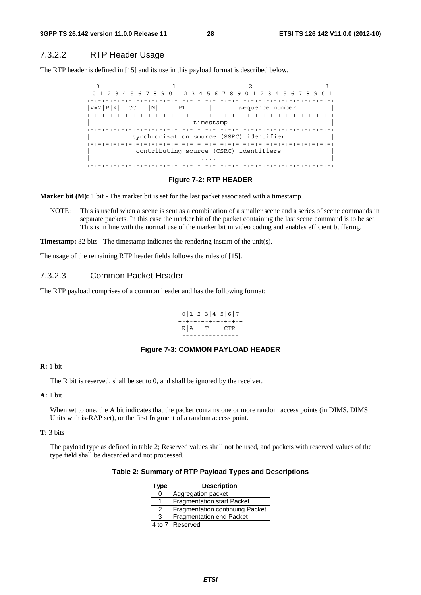### 7.3.2.2 RTP Header Usage

The RTP header is defined in [15] and its use in this payload format is described below.

0  $1$  2 3 0 1 2 3 4 5 6 7 8 9 0 1 2 3 4 5 6 7 8 9 0 1 2 3 4 5 6 7 8 9 0 1 +-+-+-+-+-+-+-+-+-+-+-+-+-+-+-+-+-+-+-+-+-+-+-+-+-+-+-+-+-+-+-+-+  $|V=2|P|X|$  CC  $|M|$  PT | sequence number +-+-+-+-+-+-+-+-+-+-+-+-+-+-+-+-+-+-+-+-+-+-+-+-+-+-+-+-+-+-+-+-+ timestamp +-+-+-+-+-+-+-+-+-+-+-+-+-+-+-+-+-+-+-+-+-+-+-+-+-+-+-+-+-+-+-+-+ synchronization source (SSRC) identifier +=+=+=+=+=+=+=+=+=+=+=+=+=+=+=+=+=+=+=+=+=+=+=+=+=+=+=+=+=+=+=+=+ contributing source (CSRC) identifiers | .... | ... | ... | ... | ... | ... | ... | ... | ... | ... | ... | ... | ... | ... | ... | ... | ... | ... | +-+-+-+-+-+-+-+-+-+-+-+-+-+-+-+-+-+-+-+-+-+-+-+-+-+-+-+-+-+-+-+-+

#### **Figure 7-2: RTP HEADER**

**Marker bit (M):** 1 bit - The marker bit is set for the last packet associated with a timestamp.

NOTE: This is useful when a scene is sent as a combination of a smaller scene and a series of scene commands in separate packets. In this case the marker bit of the packet containing the last scene command is to be set. This is in line with the normal use of the marker bit in video coding and enables efficient buffering.

**Timestamp:** 32 bits - The timestamp indicates the rendering instant of the unit(s).

The usage of the remaining RTP header fields follows the rules of [15].

### 7.3.2.3 Common Packet Header

The RTP payload comprises of a common header and has the following format:

```
+---------------+ 
|0|1|2|3|4|5|6|7| 
+-+-+-+-+-+-+-+-+ 
|R|A| T | CTR | 
+---------------+
```
### **Figure 7-3: COMMON PAYLOAD HEADER**

#### **R:** 1 bit

The R bit is reserved, shall be set to 0, and shall be ignored by the receiver.

### **A:** 1 bit

When set to one, the A bit indicates that the packet contains one or more random access points (in DIMS, DIMS Units with is-RAP set), or the first fragment of a random access point.

#### **T:** 3 bits

The payload type as defined in table 2; Reserved values shall not be used, and packets with reserved values of the type field shall be discarded and not processed.

| Type | <b>Description</b>                     |
|------|----------------------------------------|
|      | Aggregation packet                     |
|      | <b>Fragmentation start Packet</b>      |
| 2    | <b>Fragmentation continuing Packet</b> |
| З    | <b>Fragmentation end Packet</b>        |
|      | 4 to 7 Reserved                        |

| Table 2: Summary of RTP Payload Types and Descriptions |  |  |  |
|--------------------------------------------------------|--|--|--|
|--------------------------------------------------------|--|--|--|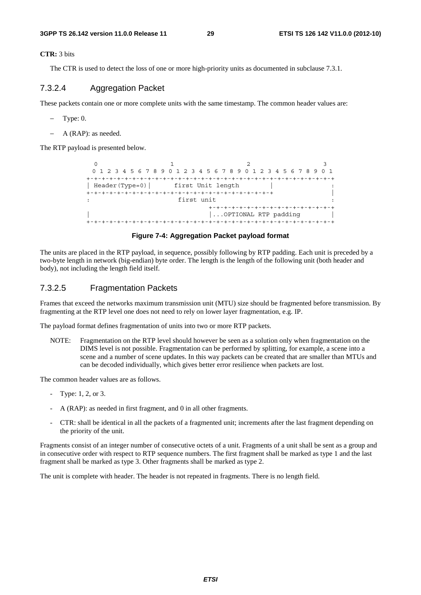**CTR:** 3 bits

The CTR is used to detect the loss of one or more high-priority units as documented in subclause 7.3.1.

### 7.3.2.4 Aggregation Packet

These packets contain one or more complete units with the same timestamp. The common header values are:

- − Type: 0.
- − A (RAP): as needed.

The RTP payload is presented below.

0  $1$   $2$   $3$  0 1 2 3 4 5 6 7 8 9 0 1 2 3 4 5 6 7 8 9 0 1 2 3 4 5 6 7 8 9 0 1 +-+-+-+-+-+-+-+-+-+-+-+-+-+-+-+-+-+-+-+-+-+-+-+-+-+-+-+-+-+-+-+-+ | Header(Type=0) | first Unit length | +-+-+-+-+-+-+-+-+-+-+-+-+-+-+-+-+-+-+-+-+-+-+-+-+ | first unit +-+-+-+-+-+-+-+-+-+-+-+-+-+-+-+-+ | |...OPTIONAL RTP padding | +-+-+-+-+-+-+-+-+-+-+-+-+-+-+-+-+-+-+-+-+-+-+-+-+-+-+-+-+-+-+-+-+

#### **Figure 7-4: Aggregation Packet payload format**

The units are placed in the RTP payload, in sequence, possibly following by RTP padding. Each unit is preceded by a two-byte length in network (big-endian) byte order. The length is the length of the following unit (both header and body), not including the length field itself.

### 7.3.2.5 Fragmentation Packets

Frames that exceed the networks maximum transmission unit (MTU) size should be fragmented before transmission. By fragmenting at the RTP level one does not need to rely on lower layer fragmentation, e.g. IP.

The payload format defines fragmentation of units into two or more RTP packets.

NOTE: Fragmentation on the RTP level should however be seen as a solution only when fragmentation on the DIMS level is not possible. Fragmentation can be performed by splitting, for example, a scene into a scene and a number of scene updates. In this way packets can be created that are smaller than MTUs and can be decoded individually, which gives better error resilience when packets are lost.

The common header values are as follows.

- Type: 1, 2, or 3.
- A (RAP): as needed in first fragment, and 0 in all other fragments.
- CTR: shall be identical in all the packets of a fragmented unit; increments after the last fragment depending on the priority of the unit.

Fragments consist of an integer number of consecutive octets of a unit. Fragments of a unit shall be sent as a group and in consecutive order with respect to RTP sequence numbers. The first fragment shall be marked as type 1 and the last fragment shall be marked as type 3. Other fragments shall be marked as type 2.

The unit is complete with header. The header is not repeated in fragments. There is no length field.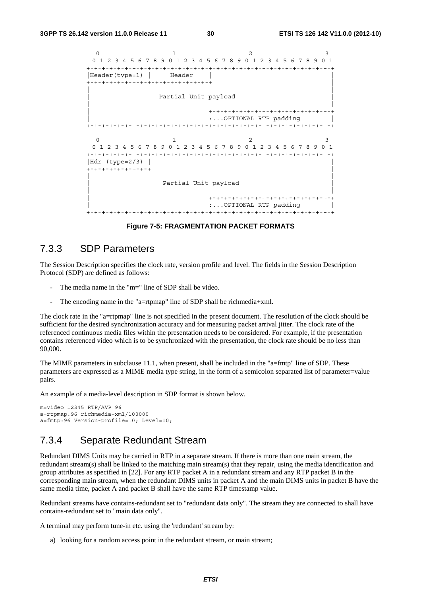```
0 1 2 3
 0 1 2 3 4 5 6 7 8 9 0 1 2 3 4 5 6 7 8 9 0 1 2 3 4 5 6 7 8 9 0 1 
+-+-+-+-+-+-+-+-+-+-+-+-+-+-+-+-+-+-+-+-+-+-+-+-+-+-+-+-+-+-+-+-+ 
|Header(type=1) | Header |
+-+-+-+-+-+-+-+-+-+-+-+-+-+-+-+-+ | 
| | 
             Partial Unit payload
| | 
                      .<br>+-+-+-+-+-+-+-+-+-+-+-+-+-+-+-+-+-+
                      | :...OPTIONAL RTP padding | 
+-+-+-+-+-+-+-+-+-+-+-+-+-+-+-+-+-+-+-+-+-+-+-+-+-+-+-+-+-+-+-+-+ 
 0 1 2 3
 0 1 2 3 4 5 6 7 8 9 0 1 2 3 4 5 6 7 8 9 0 1 2 3 4 5 6 7 8 9 0 1 
+-+-+-+-+-+-+-+-+-+-+-+-+-+-+-+-+-+-+-+-+-+-+-+-+-+-+-+-+-+-+-+-+ 
|Hdr (type=2/3) | | 
+-+-+-+-+-+-+-+-+ | 
| | 
             Partial Unit payload
| | 
                      | +-+-+-+-+-+-+-+-+-+-+-+-+-+-+-+-+ 
                      | :...OPTIONAL RTP padding | 
+-+-+-+-+-+-+-+-+-+-+-+-+-+-+-+-+-+-+-+-+-+-+-+-+-+-+-+-+-+-+-+-+
```
**Figure 7-5: FRAGMENTATION PACKET FORMATS** 

### 7.3.3 SDP Parameters

The Session Description specifies the clock rate, version profile and level. The fields in the Session Description Protocol (SDP) are defined as follows:

- The media name in the "m=" line of SDP shall be video.
- The encoding name in the "a=rtpmap" line of SDP shall be richmedia+xml.

The clock rate in the "a=rtpmap" line is not specified in the present document. The resolution of the clock should be sufficient for the desired synchronization accuracy and for measuring packet arrival jitter. The clock rate of the referenced continuous media files within the presentation needs to be considered. For example, if the presentation contains referenced video which is to be synchronized with the presentation, the clock rate should be no less than 90,000.

The MIME parameters in subclause 11.1, when present, shall be included in the "a=fmtp" line of SDP. These parameters are expressed as a MIME media type string, in the form of a semicolon separated list of parameter=value pairs.

An example of a media-level description in SDP format is shown below.

```
m=video 12345 RTP/AVP 96 
a=rtpmap:96 richmedia+xml/100000 
a=fmtp:96 Version-profile=10; Level=10;
```
### 7.3.4 Separate Redundant Stream

Redundant DIMS Units may be carried in RTP in a separate stream. If there is more than one main stream, the redundant stream(s) shall be linked to the matching main stream(s) that they repair, using the media identification and group attributes as specified in [22]. For any RTP packet A in a redundant stream and any RTP packet B in the corresponding main stream, when the redundant DIMS units in packet A and the main DIMS units in packet B have the same media time, packet A and packet B shall have the same RTP timestamp value.

Redundant streams have contains-redundant set to "redundant data only". The stream they are connected to shall have contains-redundant set to "main data only".

A terminal may perform tune-in etc. using the 'redundant' stream by:

a) looking for a random access point in the redundant stream, or main stream;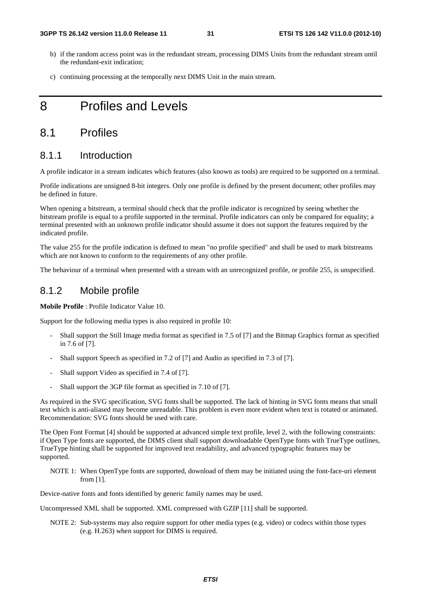- b) if the random access point was in the redundant stream, processing DIMS Units from the redundant stream until the redundant-exit indication;
- c) continuing processing at the temporally next DIMS Unit in the main stream.

# 8 Profiles and Levels

# 8.1 Profiles

### 8.1.1 Introduction

A profile indicator in a stream indicates which features (also known as tools) are required to be supported on a terminal.

Profile indications are unsigned 8-bit integers. Only one profile is defined by the present document; other profiles may be defined in future.

When opening a bitstream, a terminal should check that the profile indicator is recognized by seeing whether the bitstream profile is equal to a profile supported in the terminal. Profile indicators can only be compared for equality; a terminal presented with an unknown profile indicator should assume it does not support the features required by the indicated profile.

The value 255 for the profile indication is defined to mean "no profile specified" and shall be used to mark bitstreams which are not known to conform to the requirements of any other profile.

The behaviour of a terminal when presented with a stream with an unrecognized profile, or profile 255, is unspecified.

### 8.1.2 Mobile profile

**Mobile Profile** : Profile Indicator Value 10.

Support for the following media types is also required in profile 10:

- Shall support the Still Image media format as specified in 7.5 of [7] and the Bitmap Graphics format as specified in 7.6 of [7].
- Shall support Speech as specified in 7.2 of [7] and Audio as specified in 7.3 of [7].
- Shall support Video as specified in 7.4 of [7].
- Shall support the 3GP file format as specified in 7.10 of [7].

As required in the SVG specification, SVG fonts shall be supported. The lack of hinting in SVG fonts means that small text which is anti-aliased may become unreadable. This problem is even more evident when text is rotated or animated. Recommendation: SVG fonts should be used with care.

The Open Font Format [4] should be supported at advanced simple text profile, level 2, with the following constraints: if Open Type fonts are supported, the DIMS client shall support downloadable OpenType fonts with TrueType outlines, TrueType hinting shall be supported for improved text readability, and advanced typographic features may be supported.

NOTE 1: When OpenType fonts are supported, download of them may be initiated using the font-face-uri element from [1].

Device-native fonts and fonts identified by generic family names may be used.

Uncompressed XML shall be supported. XML compressed with GZIP [11] shall be supported.

NOTE 2: Sub-systems may also require support for other media types (e.g. video) or codecs within those types (e.g. H.263) when support for DIMS is required.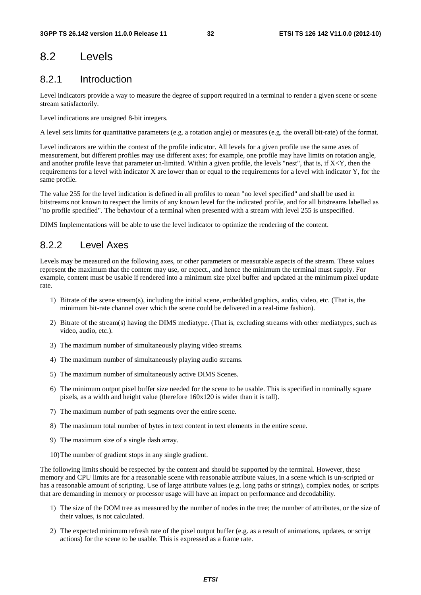# 8.2 Levels

# 8.2.1 Introduction

Level indicators provide a way to measure the degree of support required in a terminal to render a given scene or scene stream satisfactorily.

Level indications are unsigned 8-bit integers.

A level sets limits for quantitative parameters (e.g. a rotation angle) or measures (e.g. the overall bit-rate) of the format.

Level indicators are within the context of the profile indicator. All levels for a given profile use the same axes of measurement, but different profiles may use different axes; for example, one profile may have limits on rotation angle, and another profile leave that parameter un-limited. Within a given profile, the levels "nest", that is, if X<Y, then the requirements for a level with indicator X are lower than or equal to the requirements for a level with indicator Y, for the same profile.

The value 255 for the level indication is defined in all profiles to mean "no level specified" and shall be used in bitstreams not known to respect the limits of any known level for the indicated profile, and for all bitstreams labelled as "no profile specified". The behaviour of a terminal when presented with a stream with level 255 is unspecified.

DIMS Implementations will be able to use the level indicator to optimize the rendering of the content.

# 8.2.2 Level Axes

Levels may be measured on the following axes, or other parameters or measurable aspects of the stream. These values represent the maximum that the content may use, or expect., and hence the minimum the terminal must supply. For example, content must be usable if rendered into a minimum size pixel buffer and updated at the minimum pixel update rate.

- 1) Bitrate of the scene stream(s), including the initial scene, embedded graphics, audio, video, etc. (That is, the minimum bit-rate channel over which the scene could be delivered in a real-time fashion).
- 2) Bitrate of the stream(s) having the DIMS mediatype. (That is, excluding streams with other mediatypes, such as video, audio, etc.).
- 3) The maximum number of simultaneously playing video streams.
- 4) The maximum number of simultaneously playing audio streams.
- 5) The maximum number of simultaneously active DIMS Scenes.
- 6) The minimum output pixel buffer size needed for the scene to be usable. This is specified in nominally square pixels, as a width and height value (therefore 160x120 is wider than it is tall).
- 7) The maximum number of path segments over the entire scene.
- 8) The maximum total number of bytes in text content in text elements in the entire scene.
- 9) The maximum size of a single dash array.
- 10) The number of gradient stops in any single gradient.

The following limits should be respected by the content and should be supported by the terminal. However, these memory and CPU limits are for a reasonable scene with reasonable attribute values, in a scene which is un-scripted or has a reasonable amount of scripting. Use of large attribute values (e.g. long paths or strings), complex nodes, or scripts that are demanding in memory or processor usage will have an impact on performance and decodability.

- 1) The size of the DOM tree as measured by the number of nodes in the tree; the number of attributes, or the size of their values, is not calculated.
- 2) The expected minimum refresh rate of the pixel output buffer (e.g. as a result of animations, updates, or script actions) for the scene to be usable. This is expressed as a frame rate.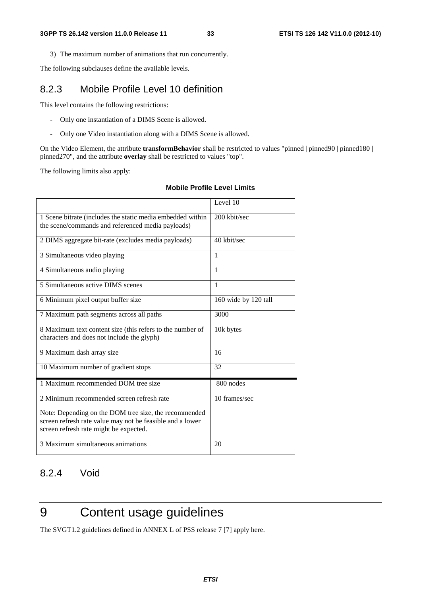3) The maximum number of animations that run concurrently.

The following subclauses define the available levels.

# 8.2.3 Mobile Profile Level 10 definition

This level contains the following restrictions:

- Only one instantiation of a DIMS Scene is allowed.
- Only one Video instantiation along with a DIMS Scene is allowed.

On the Video Element, the attribute **transformBehavior** shall be restricted to values "pinned | pinned90 | pinned180 | pinned270", and the attribute **overlay** shall be restricted to values "top".

The following limits also apply:

#### **Mobile Profile Level Limits**

|                                                                                                                                                              | Level 10             |
|--------------------------------------------------------------------------------------------------------------------------------------------------------------|----------------------|
| 1 Scene bitrate (includes the static media embedded within<br>the scene/commands and referenced media payloads)                                              | 200 kbit/sec         |
| 2 DIMS aggregate bit-rate (excludes media payloads)                                                                                                          | 40 kbit/sec          |
| 3 Simultaneous video playing                                                                                                                                 | $\mathbf{1}$         |
| 4 Simultaneous audio playing                                                                                                                                 | 1                    |
| 5 Simultaneous active DIMS scenes                                                                                                                            | $\mathbf{1}$         |
| 6 Minimum pixel output buffer size                                                                                                                           | 160 wide by 120 tall |
| 7 Maximum path segments across all paths                                                                                                                     | 3000                 |
| 8 Maximum text content size (this refers to the number of<br>characters and does not include the glyph)                                                      | 10k bytes            |
| 9 Maximum dash array size                                                                                                                                    | 16                   |
| 10 Maximum number of gradient stops                                                                                                                          | 32                   |
| 1 Maximum recommended DOM tree size                                                                                                                          | 800 nodes            |
| 2 Minimum recommended screen refresh rate                                                                                                                    | 10 frames/sec        |
| Note: Depending on the DOM tree size, the recommended<br>screen refresh rate value may not be feasible and a lower<br>screen refresh rate might be expected. |                      |
| 3 Maximum simultaneous animations                                                                                                                            | 20                   |

# 8.2.4 Void

# 9 Content usage guidelines

The SVGT1.2 guidelines defined in ANNEX L of PSS release 7 [7] apply here.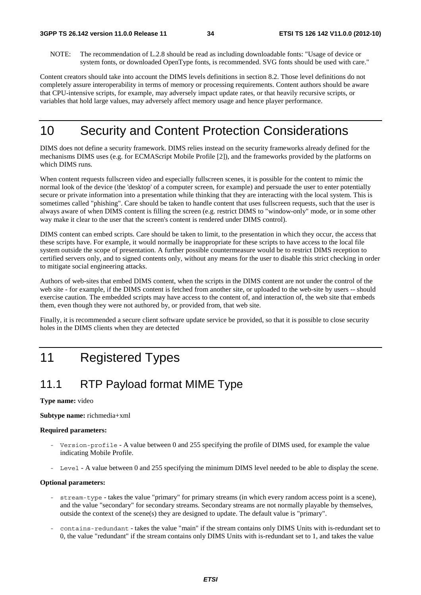NOTE: The recommendation of L.2.8 should be read as including downloadable fonts: "Usage of device or system fonts, or downloaded OpenType fonts, is recommended. SVG fonts should be used with care."

Content creators should take into account the DIMS levels definitions in section 8.2. Those level definitions do not completely assure interoperability in terms of memory or processing requirements. Content authors should be aware that CPU-intensive scripts, for example, may adversely impact update rates, or that heavily recursive scripts, or variables that hold large values, may adversely affect memory usage and hence player performance.

# 10 Security and Content Protection Considerations

DIMS does not define a security framework. DIMS relies instead on the security frameworks already defined for the mechanisms DIMS uses (e.g. for ECMAScript Mobile Profile [2]), and the frameworks provided by the platforms on which DIMS runs.

When content requests fullscreen video and especially fullscreen scenes, it is possible for the content to mimic the normal look of the device (the 'desktop' of a computer screen, for example) and persuade the user to enter potentially secure or private information into a presentation while thinking that they are interacting with the local system. This is sometimes called "phishing". Care should be taken to handle content that uses fullscreen requests, such that the user is always aware of when DIMS content is filling the screen (e.g. restrict DIMS to "window-only" mode, or in some other way make it clear to the user that the screen's content is rendered under DIMS control).

DIMS content can embed scripts. Care should be taken to limit, to the presentation in which they occur, the access that these scripts have. For example, it would normally be inappropriate for these scripts to have access to the local file system outside the scope of presentation. A further possible countermeasure would be to restrict DIMS reception to certified servers only, and to signed contents only, without any means for the user to disable this strict checking in order to mitigate social engineering attacks.

Authors of web-sites that embed DIMS content, when the scripts in the DIMS content are not under the control of the web site - for example, if the DIMS content is fetched from another site, or uploaded to the web-site by users -- should exercise caution. The embedded scripts may have access to the content of, and interaction of, the web site that embeds them, even though they were not authored by, or provided from, that web site.

Finally, it is recommended a secure client software update service be provided, so that it is possible to close security holes in the DIMS clients when they are detected

# 11 Registered Types

# 11.1 RTP Payload format MIME Type

#### **Type name:** video

#### **Subtype name:** richmedia+xml

#### **Required parameters:**

- Version-profile A value between 0 and 255 specifying the profile of DIMS used, for example the value indicating Mobile Profile.
- Level A value between 0 and 255 specifying the minimum DIMS level needed to be able to display the scene.

### **Optional parameters:**

- stream-type takes the value "primary" for primary streams (in which every random access point is a scene), and the value "secondary" for secondary streams. Secondary streams are not normally playable by themselves, outside the context of the scene(s) they are designed to update. The default value is "primary".
- contains-redundant takes the value "main" if the stream contains only DIMS Units with is-redundant set to 0, the value "redundant" if the stream contains only DIMS Units with is-redundant set to 1, and takes the value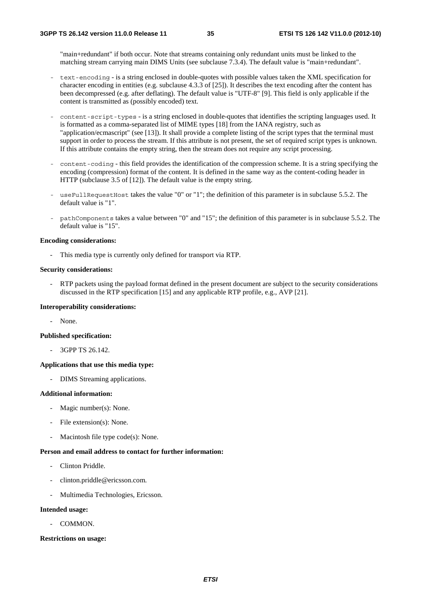"main+redundant" if both occur. Note that streams containing only redundant units must be linked to the matching stream carrying main DIMS Units (see subclause 7.3.4). The default value is "main+redundant".

- text-encoding is a string enclosed in double-quotes with possible values taken the XML specification for character encoding in entities (e.g. subclause 4.3.3 of [25]). It describes the text encoding after the content has been decompressed (e.g. after deflating). The default value is "UTF-8" [9]. This field is only applicable if the content is transmitted as (possibly encoded) text.
- content-script-types is a string enclosed in double-quotes that identifies the scripting languages used. It is formatted as a comma-separated list of MIME types [18] from the IANA registry, such as "application/ecmascript" (see [13]). It shall provide a complete listing of the script types that the terminal must support in order to process the stream. If this attribute is not present, the set of required script types is unknown. If this attribute contains the empty string, then the stream does not require any script processing.
- content-coding this field provides the identification of the compression scheme. It is a string specifying the encoding (compression) format of the content. It is defined in the same way as the content-coding header in HTTP (subclause 3.5 of [12]). The default value is the empty string.
- useFullRequestHost takes the value "0" or "1"; the definition of this parameter is in subclause 5.5.2. The default value is "1".
- pathComponents takes a value between "0" and "15"; the definition of this parameter is in subclause 5.5.2. The default value is "15".

#### **Encoding considerations:**

This media type is currently only defined for transport via RTP.

#### **Security considerations:**

RTP packets using the payload format defined in the present document are subject to the security considerations discussed in the RTP specification [15] and any applicable RTP profile, e.g., AVP [21].

#### **Interoperability considerations:**

- None.

### **Published specification:**

- 3GPP TS 26.142.

#### **Applications that use this media type:**

- DIMS Streaming applications.

#### **Additional information:**

- Magic number(s): None.
- File extension(s): None.
- Macintosh file type  $code(s)$ : None.

### **Person and email address to contact for further information:**

- Clinton Priddle.
- clinton.priddle@ericsson.com.
- Multimedia Technologies, Ericsson.

#### **Intended usage:**

- COMMON.

#### **Restrictions on usage:**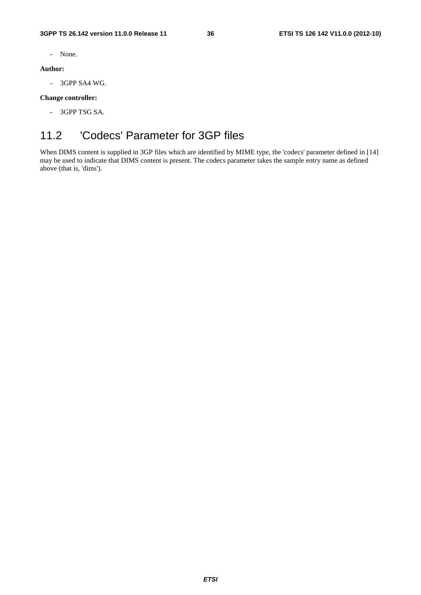- None.

### **Author:**

- 3GPP SA4 WG.

### **Change controller:**

- 3GPP TSG SA.

# 11.2 'Codecs' Parameter for 3GP files

When DIMS content is supplied in 3GP files which are identified by MIME type, the 'codecs' parameter defined in [14] may be used to indicate that DIMS content is present. The codecs parameter takes the sample entry name as defined above (that is, 'dims').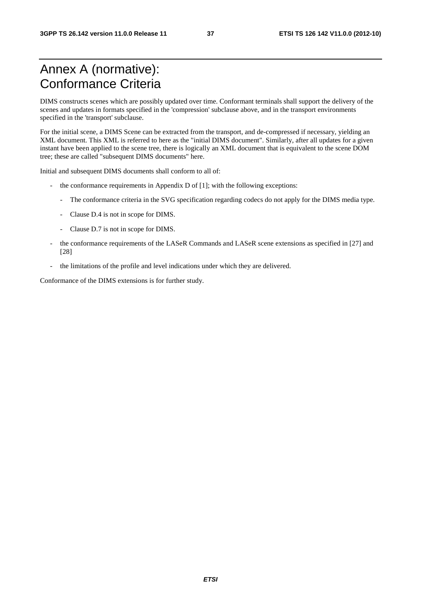# Annex A (normative): Conformance Criteria

DIMS constructs scenes which are possibly updated over time. Conformant terminals shall support the delivery of the scenes and updates in formats specified in the 'compression' subclause above, and in the transport environments specified in the 'transport' subclause.

For the initial scene, a DIMS Scene can be extracted from the transport, and de-compressed if necessary, yielding an XML document. This XML is referred to here as the "initial DIMS document". Similarly, after all updates for a given instant have been applied to the scene tree, there is logically an XML document that is equivalent to the scene DOM tree; these are called "subsequent DIMS documents" here.

Initial and subsequent DIMS documents shall conform to all of:

- the conformance requirements in Appendix  $D$  of [1]; with the following exceptions:
	- The conformance criteria in the SVG specification regarding codecs do not apply for the DIMS media type.
	- Clause D.4 is not in scope for DIMS.
	- Clause D.7 is not in scope for DIMS.
- the conformance requirements of the LASeR Commands and LASeR scene extensions as specified in [27] and [28]
- the limitations of the profile and level indications under which they are delivered.

Conformance of the DIMS extensions is for further study.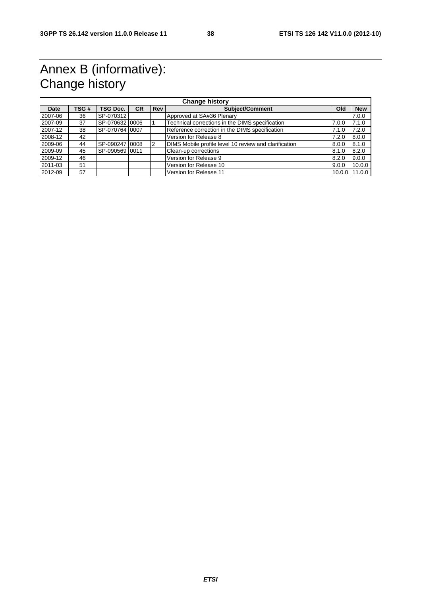# Annex B (informative): Change history

|         | <b>Change history</b> |                |           |                |                                                       |       |               |  |
|---------|-----------------------|----------------|-----------|----------------|-------------------------------------------------------|-------|---------------|--|
| Date    | TSG#                  | TSG Doc.       | <b>CR</b> | <b>Rev</b>     | <b>Subject/Comment</b>                                | Old   | <b>New</b>    |  |
| 2007-06 | 36                    | SP-070312      |           |                | Approved at SA#36 Plenary                             |       | 7.0.0         |  |
| 2007-09 | 37                    | SP-070632 0006 |           |                | Technical corrections in the DIMS specification       | 7.0.0 | 7.1.0         |  |
| 2007-12 | 38                    | SP-070764 0007 |           |                | Reference correction in the DIMS specification        | 7.1.0 | 7.2.0         |  |
| 2008-12 | 42                    |                |           |                | Version for Release 8                                 | 7.2.0 | 8.0.0         |  |
| 2009-06 | 44                    | SP-090247 0008 |           | $\overline{2}$ | DIMS Mobile profile level 10 review and clarification | 8.0.0 | 8.1.0         |  |
| 2009-09 | 45                    | SP-090569 0011 |           |                | Clean-up corrections                                  | 8.1.0 | 8.2.0         |  |
| 2009-12 | 46                    |                |           |                | Version for Release 9                                 | 8.2.0 | 9.0.0         |  |
| 2011-03 | 51                    |                |           |                | Version for Release 10                                | 9.0.0 | 10.0.0        |  |
| 2012-09 | 57                    |                |           |                | Version for Release 11                                |       | 10.0.0 11.0.0 |  |